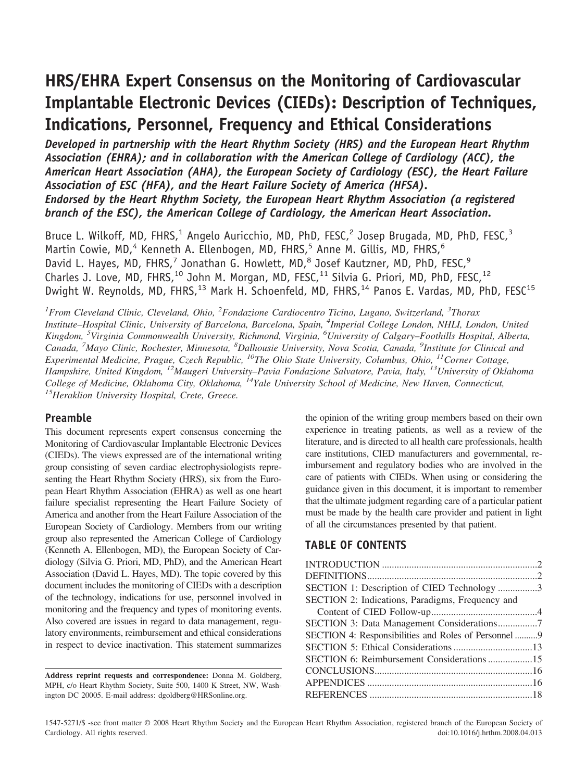# **HRS/EHRA Expert Consensus on the Monitoring of Cardiovascular Implantable Electronic Devices (CIEDs): Description of Techniques, Indications, Personnel, Frequency and Ethical Considerations**

*Developed in partnership with the Heart Rhythm Society (HRS) and the European Heart Rhythm Association (EHRA); and in collaboration with the American College of Cardiology (ACC), the American Heart Association (AHA), the European Society of Cardiology (ESC), the Heart Failure Association of ESC (HFA), and the Heart Failure Society of America (HFSA). Endorsed by the Heart Rhythm Society, the European Heart Rhythm Association (a registered branch of the ESC), the American College of Cardiology, the American Heart Association.*

Bruce L. Wilkoff, MD, FHRS,<sup>1</sup> Angelo Auricchio, MD, PhD, FESC,<sup>2</sup> Josep Brugada, MD, PhD, FESC,<sup>3</sup> Martin Cowie, MD,<sup>4</sup> Kenneth A. Ellenbogen, MD, FHRS,<sup>5</sup> Anne M. Gillis, MD, FHRS,<sup>6</sup> David L. Hayes, MD, FHRS,<sup>7</sup> Jonathan G. Howlett, MD,<sup>8</sup> Josef Kautzner, MD, PhD, FESC,<sup>9</sup> Charles J. Love, MD, FHRS,<sup>10</sup> John M. Morgan, MD, FESC,<sup>11</sup> Silvia G. Priori, MD, PhD, FESC,<sup>12</sup> Dwight W. Reynolds, MD, FHRS,<sup>13</sup> Mark H. Schoenfeld, MD, FHRS,<sup>14</sup> Panos E. Vardas, MD, PhD, FESC<sup>15</sup>

<sup>1</sup> *From Cleveland Clinic, Cleveland, Ohio, <sup>2</sup> Fondazione Cardiocentro Ticino, Lugano, Switzerland, <sup>3</sup> Thorax Institute–Hospital Clinic, University of Barcelona, Barcelona, Spain, <sup>4</sup> Imperial College London, NHLI, London, United Kingdom, <sup>5</sup> Virginia Commonwealth University, Richmond, Virginia, <sup>6</sup> University of Calgary–Foothills Hospital, Alberta, Canada, <sup>7</sup> Mayo Clinic, Rochester, Minnesota, <sup>8</sup> Dalhousie University, Nova Scotia, Canada, <sup>9</sup> Institute for Clinical and Experimental Medicine, Prague, Czech Republic, 10The Ohio State University, Columbus, Ohio, 11Corner Cottage, Hampshire, United Kingdom, 12Maugeri University–Pavia Fondazione Salvatore, Pavia, Italy, 13University of Oklahoma College of Medicine, Oklahoma City, Oklahoma, 14Yale University School of Medicine, New Haven, Connecticut, 15Heraklion University Hospital, Crete, Greece.*

# **Preamble**

This document represents expert consensus concerning the Monitoring of Cardiovascular Implantable Electronic Devices (CIEDs). The views expressed are of the international writing group consisting of seven cardiac electrophysiologists representing the Heart Rhythm Society (HRS), six from the European Heart Rhythm Association (EHRA) as well as one heart failure specialist representing the Heart Failure Society of America and another from the Heart Failure Association of the European Society of Cardiology. Members from our writing group also represented the American College of Cardiology (Kenneth A. Ellenbogen, MD), the European Society of Cardiology (Silvia G. Priori, MD, PhD), and the American Heart Association (David L. Hayes, MD). The topic covered by this document includes the monitoring of CIEDs with a description of the technology, indications for use, personnel involved in monitoring and the frequency and types of monitoring events. Also covered are issues in regard to data management, regulatory environments, reimbursement and ethical considerations in respect to device inactivation. This statement summarizes

the opinion of the writing group members based on their own experience in treating patients, as well as a review of the literature, and is directed to all health care professionals, health care institutions, CIED manufacturers and governmental, reimbursement and regulatory bodies who are involved in the care of patients with CIEDs. When using or considering the guidance given in this document, it is important to remember that the ultimate judgment regarding care of a particular patient must be made by the health care provider and patient in light of all the circumstances presented by that patient.

# **TABLE OF CONTENTS**

| SECTION 1: Description of CIED Technology 3           |  |
|-------------------------------------------------------|--|
| SECTION 2: Indications, Paradigms, Frequency and      |  |
|                                                       |  |
| SECTION 3: Data Management Considerations7            |  |
| SECTION 4: Responsibilities and Roles of Personnel  9 |  |
|                                                       |  |
| SECTION 6: Reimbursement Considerations15             |  |
|                                                       |  |
|                                                       |  |
|                                                       |  |
|                                                       |  |

1547-5271/\$ -see front matter © 2008 Heart Rhythm Society and the European Heart Rhythm Association, registered branch of the European Society of Cardiology. All rights reserved. doi:10.1016/j.hrthm.2008.04.013

**Address reprint requests and correspondence:** Donna M. Goldberg, MPH, c/o Heart Rhythm Society, Suite 500, 1400 K Street, NW, Washington DC 20005. E-mail address: dgoldberg@HRSonline.org.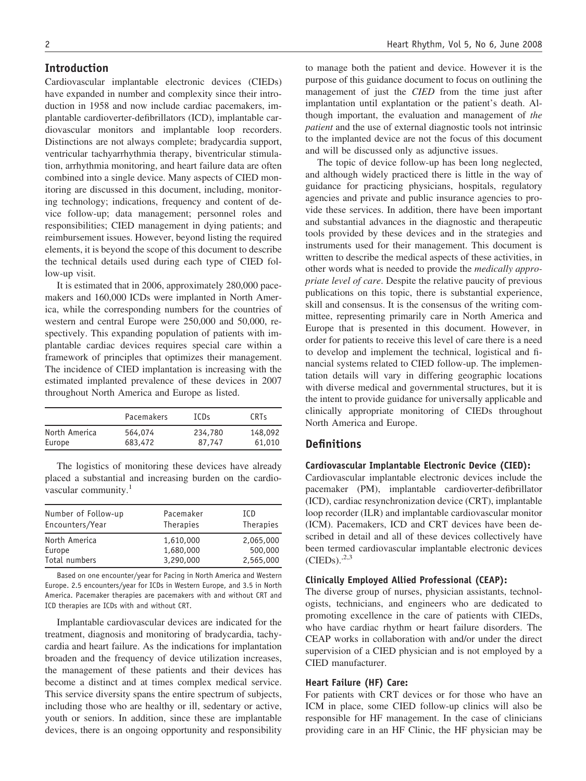# **Introduction**

Cardiovascular implantable electronic devices (CIEDs) have expanded in number and complexity since their introduction in 1958 and now include cardiac pacemakers, implantable cardioverter-defibrillators (ICD), implantable cardiovascular monitors and implantable loop recorders. Distinctions are not always complete; bradycardia support, ventricular tachyarrhythmia therapy, biventricular stimulation, arrhythmia monitoring, and heart failure data are often combined into a single device. Many aspects of CIED monitoring are discussed in this document, including, monitoring technology; indications, frequency and content of device follow-up; data management; personnel roles and responsibilities; CIED management in dying patients; and reimbursement issues. However, beyond listing the required elements, it is beyond the scope of this document to describe the technical details used during each type of CIED follow-up visit.

It is estimated that in 2006, approximately 280,000 pacemakers and 160,000 ICDs were implanted in North America, while the corresponding numbers for the countries of western and central Europe were 250,000 and 50,000, respectively. This expanding population of patients with implantable cardiac devices requires special care within a framework of principles that optimizes their management. The incidence of CIED implantation is increasing with the estimated implanted prevalence of these devices in 2007 throughout North America and Europe as listed.

|               | Pacemakers | <b>ICDs</b> | <b>CRTs</b> |
|---------------|------------|-------------|-------------|
| North America | 564,074    | 234,780     | 148,092     |
| Europe        | 683,472    | 87.747      | 61,010      |

The logistics of monitoring these devices have already placed a substantial and increasing burden on the cardiovascular community.<sup>1</sup>

| Number of Follow-up | Pacemaker | ICD       |
|---------------------|-----------|-----------|
| Encounters/Year     | Therapies | Therapies |
| North America       | 1,610,000 | 2,065,000 |
| Europe              | 1,680,000 | 500,000   |
| Total numbers       | 3,290,000 | 2,565,000 |

Based on one encounter/year for Pacing in North America and Western Europe. 2.5 encounters/year for ICDs in Western Europe, and 3.5 in North America. Pacemaker therapies are pacemakers with and without CRT and ICD therapies are ICDs with and without CRT.

Implantable cardiovascular devices are indicated for the treatment, diagnosis and monitoring of bradycardia, tachycardia and heart failure. As the indications for implantation broaden and the frequency of device utilization increases, the management of these patients and their devices has become a distinct and at times complex medical service. This service diversity spans the entire spectrum of subjects, including those who are healthy or ill, sedentary or active, youth or seniors. In addition, since these are implantable devices, there is an ongoing opportunity and responsibility to manage both the patient and device. However it is the purpose of this guidance document to focus on outlining the management of just the *CIED* from the time just after implantation until explantation or the patient's death. Although important, the evaluation and management of *the patient* and the use of external diagnostic tools not intrinsic to the implanted device are not the focus of this document and will be discussed only as adjunctive issues.

The topic of device follow-up has been long neglected, and although widely practiced there is little in the way of guidance for practicing physicians, hospitals, regulatory agencies and private and public insurance agencies to provide these services. In addition, there have been important and substantial advances in the diagnostic and therapeutic tools provided by these devices and in the strategies and instruments used for their management. This document is written to describe the medical aspects of these activities, in other words what is needed to provide the *medically appropriate level of care*. Despite the relative paucity of previous publications on this topic, there is substantial experience, skill and consensus. It is the consensus of the writing committee, representing primarily care in North America and Europe that is presented in this document. However, in order for patients to receive this level of care there is a need to develop and implement the technical, logistical and financial systems related to CIED follow-up. The implementation details will vary in differing geographic locations with diverse medical and governmental structures, but it is the intent to provide guidance for universally applicable and clinically appropriate monitoring of CIEDs throughout North America and Europe.

# **Definitions**

# **Cardiovascular Implantable Electronic Device (CIED):**

Cardiovascular implantable electronic devices include the pacemaker (PM), implantable cardioverter-defibrillator (ICD), cardiac resynchronization device (CRT), implantable loop recorder (ILR) and implantable cardiovascular monitor (ICM). Pacemakers, ICD and CRT devices have been described in detail and all of these devices collectively have been termed cardiovascular implantable electronic devices  $(CIEDs).<sup>2,3</sup>$ 

# **Clinically Employed Allied Professional (CEAP):**

The diverse group of nurses, physician assistants, technologists, technicians, and engineers who are dedicated to promoting excellence in the care of patients with CIEDs, who have cardiac rhythm or heart failure disorders. The CEAP works in collaboration with and/or under the direct supervision of a CIED physician and is not employed by a CIED manufacturer.

### **Heart Failure (HF) Care:**

For patients with CRT devices or for those who have an ICM in place, some CIED follow-up clinics will also be responsible for HF management. In the case of clinicians providing care in an HF Clinic, the HF physician may be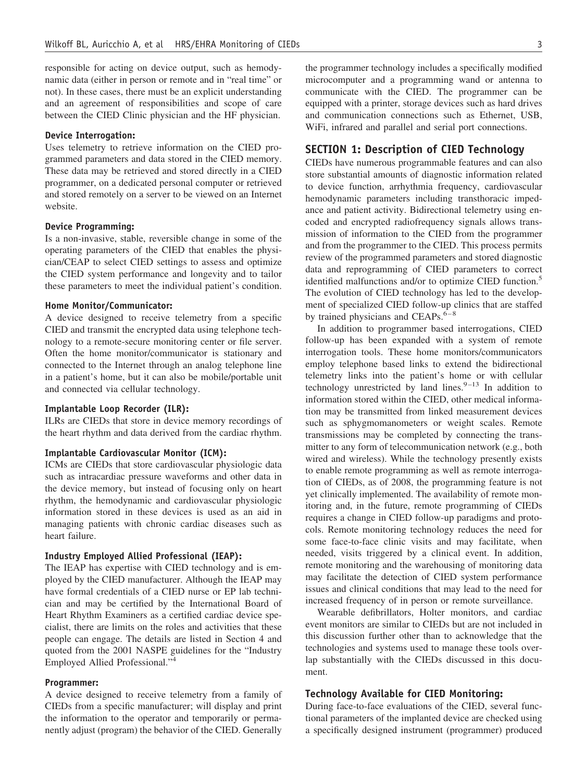responsible for acting on device output, such as hemodynamic data (either in person or remote and in "real time" or not). In these cases, there must be an explicit understanding and an agreement of responsibilities and scope of care between the CIED Clinic physician and the HF physician.

### **Device Interrogation:**

Uses telemetry to retrieve information on the CIED programmed parameters and data stored in the CIED memory. These data may be retrieved and stored directly in a CIED programmer, on a dedicated personal computer or retrieved and stored remotely on a server to be viewed on an Internet website.

# **Device Programming:**

Is a non-invasive, stable, reversible change in some of the operating parameters of the CIED that enables the physician/CEAP to select CIED settings to assess and optimize the CIED system performance and longevity and to tailor these parameters to meet the individual patient's condition.

#### **Home Monitor/Communicator:**

A device designed to receive telemetry from a specific CIED and transmit the encrypted data using telephone technology to a remote-secure monitoring center or file server. Often the home monitor/communicator is stationary and connected to the Internet through an analog telephone line in a patient's home, but it can also be mobile/portable unit and connected via cellular technology.

#### **Implantable Loop Recorder (ILR):**

ILRs are CIEDs that store in device memory recordings of the heart rhythm and data derived from the cardiac rhythm.

#### **Implantable Cardiovascular Monitor (ICM):**

ICMs are CIEDs that store cardiovascular physiologic data such as intracardiac pressure waveforms and other data in the device memory, but instead of focusing only on heart rhythm, the hemodynamic and cardiovascular physiologic information stored in these devices is used as an aid in managing patients with chronic cardiac diseases such as heart failure.

#### **Industry Employed Allied Professional (IEAP):**

The IEAP has expertise with CIED technology and is employed by the CIED manufacturer. Although the IEAP may have formal credentials of a CIED nurse or EP lab technician and may be certified by the International Board of Heart Rhythm Examiners as a certified cardiac device specialist, there are limits on the roles and activities that these people can engage. The details are listed in Section 4 and quoted from the 2001 NASPE guidelines for the "Industry Employed Allied Professional.["4](#page-17-0)

#### **Programmer:**

A device designed to receive telemetry from a family of CIEDs from a specific manufacturer; will display and print the information to the operator and temporarily or permanently adjust (program) the behavior of the CIED. Generally the programmer technology includes a specifically modified microcomputer and a programming wand or antenna to communicate with the CIED. The programmer can be equipped with a printer, storage devices such as hard drives and communication connections such as Ethernet, USB, WiFi, infrared and parallel and serial port connections.

# **SECTION 1: Description of CIED Technology**

CIEDs have numerous programmable features and can also store substantial amounts of diagnostic information related to device function, arrhythmia frequency, cardiovascular hemodynamic parameters including transthoracic impedance and patient activity. Bidirectional telemetry using encoded and encrypted radiofrequency signals allows transmission of information to the CIED from the programmer and from the programmer to the CIED. This process permits review of the programmed parameters and stored diagnostic data and reprogramming of CIED parameters to correct identified malfunctions and/or to optimize CIED function.<sup>5</sup> The evolution of CIED technology has led to the development of specialized CIED follow-up clinics that are staffed by trained physicians and CEAPs. $6-8$ 

In addition to programmer based interrogations, CIED follow-up has been expanded with a system of remote interrogation tools. These home monitors/communicators employ telephone based links to extend the bidirectional telemetry links into the patient's home or with cellular technology unrestricted by land lines. $9-13$  In addition to information stored within the CIED, other medical information may be transmitted from linked measurement devices such as sphygmomanometers or weight scales. Remote transmissions may be completed by connecting the transmitter to any form of telecommunication network (e.g., both wired and wireless). While the technology presently exists to enable remote programming as well as remote interrogation of CIEDs, as of 2008, the programming feature is not yet clinically implemented. The availability of remote monitoring and, in the future, remote programming of CIEDs requires a change in CIED follow-up paradigms and protocols. Remote monitoring technology reduces the need for some face-to-face clinic visits and may facilitate, when needed, visits triggered by a clinical event. In addition, remote monitoring and the warehousing of monitoring data may facilitate the detection of CIED system performance issues and clinical conditions that may lead to the need for increased frequency of in person or remote surveillance.

Wearable defibrillators, Holter monitors, and cardiac event monitors are similar to CIEDs but are not included in this discussion further other than to acknowledge that the technologies and systems used to manage these tools overlap substantially with the CIEDs discussed in this document.

# **Technology Available for CIED Monitoring:**

During face-to-face evaluations of the CIED, several functional parameters of the implanted device are checked using a specifically designed instrument (programmer) produced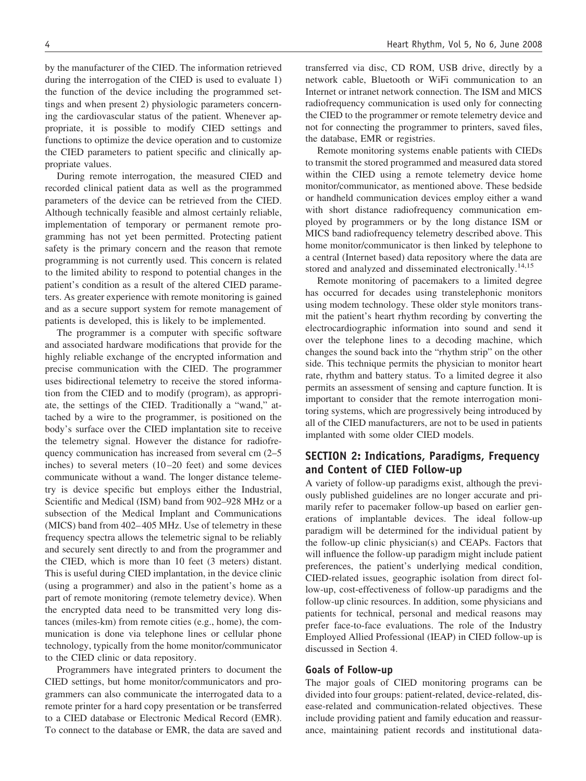by the manufacturer of the CIED. The information retrieved during the interrogation of the CIED is used to evaluate 1) the function of the device including the programmed settings and when present 2) physiologic parameters concerning the cardiovascular status of the patient. Whenever appropriate, it is possible to modify CIED settings and functions to optimize the device operation and to customize the CIED parameters to patient specific and clinically appropriate values.

During remote interrogation, the measured CIED and recorded clinical patient data as well as the programmed parameters of the device can be retrieved from the CIED. Although technically feasible and almost certainly reliable, implementation of temporary or permanent remote programming has not yet been permitted. Protecting patient safety is the primary concern and the reason that remote programming is not currently used. This concern is related to the limited ability to respond to potential changes in the patient's condition as a result of the altered CIED parameters. As greater experience with remote monitoring is gained and as a secure support system for remote management of patients is developed, this is likely to be implemented.

The programmer is a computer with specific software and associated hardware modifications that provide for the highly reliable exchange of the encrypted information and precise communication with the CIED. The programmer uses bidirectional telemetry to receive the stored information from the CIED and to modify (program), as appropriate, the settings of the CIED. Traditionally a "wand," attached by a wire to the programmer, is positioned on the body's surface over the CIED implantation site to receive the telemetry signal. However the distance for radiofrequency communication has increased from several cm (2–5 inches) to several meters (10 –20 feet) and some devices communicate without a wand. The longer distance telemetry is device specific but employs either the Industrial, Scientific and Medical (ISM) band from 902–928 MHz or a subsection of the Medical Implant and Communications (MICS) band from 402– 405 MHz. Use of telemetry in these frequency spectra allows the telemetric signal to be reliably and securely sent directly to and from the programmer and the CIED, which is more than 10 feet (3 meters) distant. This is useful during CIED implantation, in the device clinic (using a programmer) and also in the patient's home as a part of remote monitoring (remote telemetry device). When the encrypted data need to be transmitted very long distances (miles-km) from remote cities (e.g., home), the communication is done via telephone lines or cellular phone technology, typically from the home monitor/communicator to the CIED clinic or data repository.

Programmers have integrated printers to document the CIED settings, but home monitor/communicators and programmers can also communicate the interrogated data to a remote printer for a hard copy presentation or be transferred to a CIED database or Electronic Medical Record (EMR). To connect to the database or EMR, the data are saved and transferred via disc, CD ROM, USB drive, directly by a network cable, Bluetooth or WiFi communication to an Internet or intranet network connection. The ISM and MICS radiofrequency communication is used only for connecting the CIED to the programmer or remote telemetry device and not for connecting the programmer to printers, saved files, the database, EMR or registries.

Remote monitoring systems enable patients with CIEDs to transmit the stored programmed and measured data stored within the CIED using a remote telemetry device home monitor/communicator, as mentioned above. These bedside or handheld communication devices employ either a wand with short distance radiofrequency communication employed by programmers or by the long distance ISM or MICS band radiofrequency telemetry described above. This home monitor/communicator is then linked by telephone to a central (Internet based) data repository where the data are stored and analyzed and disseminated electronically.<sup>14,15</sup>

Remote monitoring of pacemakers to a limited degree has occurred for decades using transtelephonic monitors using modem technology. These older style monitors transmit the patient's heart rhythm recording by converting the electrocardiographic information into sound and send it over the telephone lines to a decoding machine, which changes the sound back into the "rhythm strip" on the other side. This technique permits the physician to monitor heart rate, rhythm and battery status. To a limited degree it also permits an assessment of sensing and capture function. It is important to consider that the remote interrogation monitoring systems, which are progressively being introduced by all of the CIED manufacturers, are not to be used in patients implanted with some older CIED models.

# **SECTION 2: Indications, Paradigms, Frequency and Content of CIED Follow-up**

A variety of follow-up paradigms exist, although the previously published guidelines are no longer accurate and primarily refer to pacemaker follow-up based on earlier generations of implantable devices. The ideal follow-up paradigm will be determined for the individual patient by the follow-up clinic physician(s) and CEAPs. Factors that will influence the follow-up paradigm might include patient preferences, the patient's underlying medical condition, CIED-related issues, geographic isolation from direct follow-up, cost-effectiveness of follow-up paradigms and the follow-up clinic resources. In addition, some physicians and patients for technical, personal and medical reasons may prefer face-to-face evaluations. The role of the Industry Employed Allied Professional (IEAP) in CIED follow-up is discussed in Section 4.

# **Goals of Follow-up**

The major goals of CIED monitoring programs can be divided into four groups: patient-related, device-related, disease-related and communication-related objectives. These include providing patient and family education and reassurance, maintaining patient records and institutional data-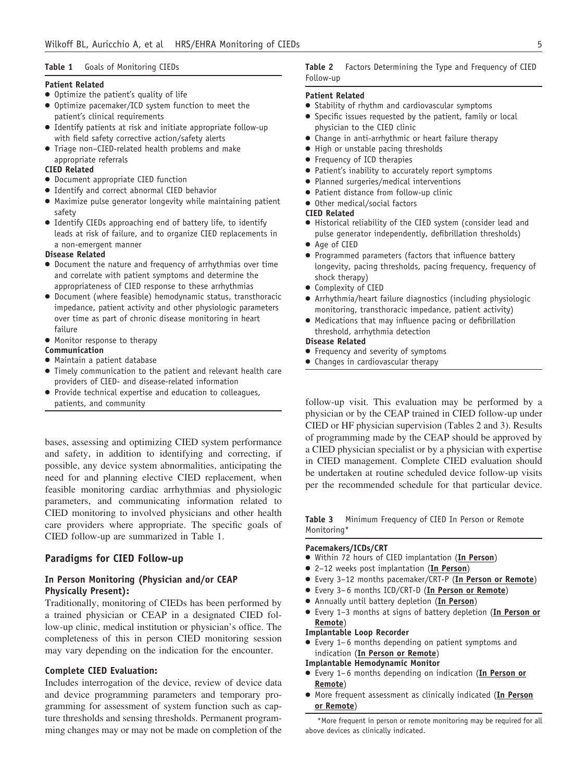#### <span id="page-4-0"></span>**Table 1** Goals of Monitoring CIEDs

### **Patient Related**

- Optimize the patient's quality of life
- Optimize pacemaker/ICD system function to meet the patient's clinical requirements
- Identify patients at risk and initiate appropriate follow-up with field safety corrective action/safety alerts
- Triage non–CIED-related health problems and make appropriate referrals

#### **CIED Related**

- Document appropriate CIED function
- Identify and correct abnormal CIED behavior
- Maximize pulse generator longevity while maintaining patient safety
- Identify CIEDs approaching end of battery life, to identify leads at risk of failure, and to organize CIED replacements in a non-emergent manner

#### **Disease Related**

- Document the nature and frequency of arrhythmias over time and correlate with patient symptoms and determine the appropriateness of CIED response to these arrhythmias
- Document (where feasible) hemodynamic status, transthoracic impedance, patient activity and other physiologic parameters over time as part of chronic disease monitoring in heart failure

## ● Monitor response to therapy

### **Communication**

- Maintain a patient database
- Timely communication to the patient and relevant health care providers of CIED- and disease-related information
- Provide technical expertise and education to colleagues, patients, and community

bases, assessing and optimizing CIED system performance and safety, in addition to identifying and correcting, if possible, any device system abnormalities, anticipating the need for and planning elective CIED replacement, when feasible monitoring cardiac arrhythmias and physiologic parameters, and communicating information related to CIED monitoring to involved physicians and other health care providers where appropriate. The specific goals of CIED follow-up are summarized in Table 1.

### **Paradigms for CIED Follow-up**

# **In Person Monitoring (Physician and/or CEAP Physically Present):**

Traditionally, monitoring of CIEDs has been performed by a trained physician or CEAP in a designated CIED follow-up clinic, medical institution or physician's office. The completeness of this in person CIED monitoring session may vary depending on the indication for the encounter.

### **Complete CIED Evaluation:**

Includes interrogation of the device, review of device data and device programming parameters and temporary programming for assessment of system function such as capture thresholds and sensing thresholds. Permanent programming changes may or may not be made on completion of the **Table 2** Factors Determining the Type and Frequency of CIED Follow-up

### **Patient Related**

- Stability of rhythm and cardiovascular symptoms
- Specific issues requested by the patient, family or local physician to the CIED clinic
- Change in anti-arrhythmic or heart failure therapy
- High or unstable pacing thresholds
- Frequency of ICD therapies
- Patient's inability to accurately report symptoms
- Planned surgeries/medical interventions
- Patient distance from follow-up clinic
- Other medical/social factors

#### **CIED Related**

- Historical reliability of the CIED system (consider lead and pulse generator independently, defibrillation thresholds)
- Age of CIED
- Programmed parameters (factors that influence battery longevity, pacing thresholds, pacing frequency, frequency of shock therapy)
- Complexity of CIED
- Arrhythmia/heart failure diagnostics (including physiologic monitoring, transthoracic impedance, patient activity)
- Medications that may influence pacing or defibrillation threshold, arrhythmia detection

#### **Disease Related**

- Frequency and severity of symptoms
- Changes in cardiovascular therapy

follow-up visit. This evaluation may be performed by a physician or by the CEAP trained in CIED follow-up under CIED or HF physician supervision (Tables 2 and 3). Results of programming made by the CEAP should be approved by a CIED physician specialist or by a physician with expertise in CIED management. Complete CIED evaluation should be undertaken at routine scheduled device follow-up visits per the recommended schedule for that particular device.

**Table 3** Minimum Frequency of CIED In Person or Remote Monitoring\*

#### **Pacemakers/ICDs/CRT**

- Within 72 hours of CIED implantation (**In Person**)
- 2–12 weeks post implantation (**In Person**)
- Every 3–12 months pacemaker/CRT-P (**In Person or Remote**)
- Every 3–6 months ICD/CRT-D (**In Person or Remote**)
- Annually until battery depletion (**In Person**)
- Every 1–3 months at signs of battery depletion (**In Person or Remote**)

## **Implantable Loop Recorder**

- Every 1–6 months depending on patient symptoms and indication (**In Person or Remote**)
- **Implantable Hemodynamic Monitor**
- Every 1–6 months depending on indication (**In Person or Remote**)
- More frequent assessment as clinically indicated (**In Person or Remote**)

\*More frequent in person or remote monitoring may be required for all above devices as clinically indicated.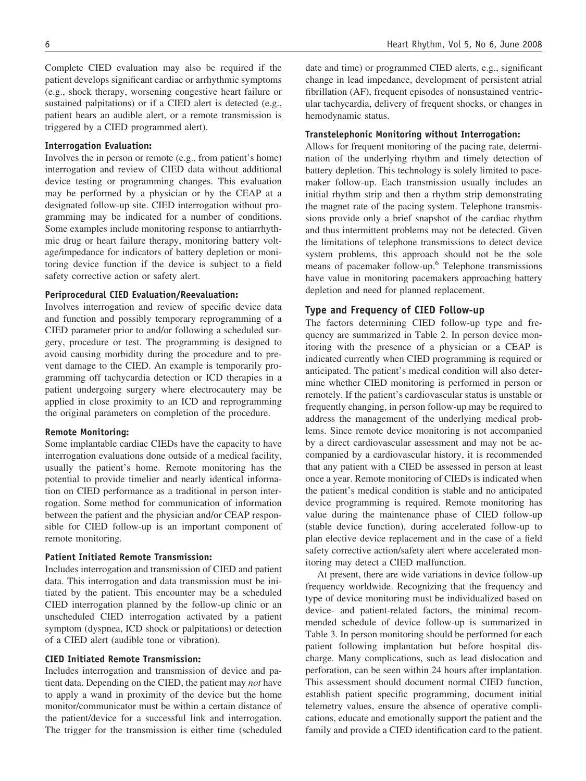Complete CIED evaluation may also be required if the patient develops significant cardiac or arrhythmic symptoms (e.g., shock therapy, worsening congestive heart failure or sustained palpitations) or if a CIED alert is detected (e.g., patient hears an audible alert, or a remote transmission is triggered by a CIED programmed alert).

# **Interrogation Evaluation:**

Involves the in person or remote (e.g., from patient's home) interrogation and review of CIED data without additional device testing or programming changes. This evaluation may be performed by a physician or by the CEAP at a designated follow-up site. CIED interrogation without programming may be indicated for a number of conditions. Some examples include monitoring response to antiarrhythmic drug or heart failure therapy, monitoring battery voltage/impedance for indicators of battery depletion or monitoring device function if the device is subject to a field safety corrective action or safety alert.

#### **Periprocedural CIED Evaluation/Reevaluation:**

Involves interrogation and review of specific device data and function and possibly temporary reprogramming of a CIED parameter prior to and/or following a scheduled surgery, procedure or test. The programming is designed to avoid causing morbidity during the procedure and to prevent damage to the CIED. An example is temporarily programming off tachycardia detection or ICD therapies in a patient undergoing surgery where electrocautery may be applied in close proximity to an ICD and reprogramming the original parameters on completion of the procedure.

### **Remote Monitoring:**

Some implantable cardiac CIEDs have the capacity to have interrogation evaluations done outside of a medical facility, usually the patient's home. Remote monitoring has the potential to provide timelier and nearly identical information on CIED performance as a traditional in person interrogation. Some method for communication of information between the patient and the physician and/or CEAP responsible for CIED follow-up is an important component of remote monitoring.

#### **Patient Initiated Remote Transmission:**

Includes interrogation and transmission of CIED and patient data. This interrogation and data transmission must be initiated by the patient. This encounter may be a scheduled CIED interrogation planned by the follow-up clinic or an unscheduled CIED interrogation activated by a patient symptom (dyspnea, ICD shock or palpitations) or detection of a CIED alert (audible tone or vibration).

# **CIED Initiated Remote Transmission:**

Includes interrogation and transmission of device and patient data. Depending on the CIED, the patient may *not* have to apply a wand in proximity of the device but the home monitor/communicator must be within a certain distance of the patient/device for a successful link and interrogation. The trigger for the transmission is either time (scheduled date and time) or programmed CIED alerts, e.g., significant change in lead impedance, development of persistent atrial fibrillation (AF), frequent episodes of nonsustained ventricular tachycardia, delivery of frequent shocks, or changes in hemodynamic status.

### **Transtelephonic Monitoring without Interrogation:**

Allows for frequent monitoring of the pacing rate, determination of the underlying rhythm and timely detection of battery depletion. This technology is solely limited to pacemaker follow-up. Each transmission usually includes an initial rhythm strip and then a rhythm strip demonstrating the magnet rate of the pacing system. Telephone transmissions provide only a brief snapshot of the cardiac rhythm and thus intermittent problems may not be detected. Given the limitations of telephone transmissions to detect device system problems, this approach should not be the sole means of pacemaker follow-up[.6](#page-17-0) Telephone transmissions have value in monitoring pacemakers approaching battery depletion and need for planned replacement.

# **Type and Frequency of CIED Follow-up**

The factors determining CIED follow-up type and frequency are summarized in [Table 2.](#page-4-0) In person device monitoring with the presence of a physician or a CEAP is indicated currently when CIED programming is required or anticipated. The patient's medical condition will also determine whether CIED monitoring is performed in person or remotely. If the patient's cardiovascular status is unstable or frequently changing, in person follow-up may be required to address the management of the underlying medical problems. Since remote device monitoring is not accompanied by a direct cardiovascular assessment and may not be accompanied by a cardiovascular history, it is recommended that any patient with a CIED be assessed in person at least once a year. Remote monitoring of CIEDs is indicated when the patient's medical condition is stable and no anticipated device programming is required. Remote monitoring has value during the maintenance phase of CIED follow-up (stable device function), during accelerated follow-up to plan elective device replacement and in the case of a field safety corrective action/safety alert where accelerated monitoring may detect a CIED malfunction.

At present, there are wide variations in device follow-up frequency worldwide. Recognizing that the frequency and type of device monitoring must be individualized based on device- and patient-related factors, the minimal recommended schedule of device follow-up is summarized in [Table 3.](#page-4-0) In person monitoring should be performed for each patient following implantation but before hospital discharge. Many complications, such as lead dislocation and perforation, can be seen within 24 hours after implantation. This assessment should document normal CIED function, establish patient specific programming, document initial telemetry values, ensure the absence of operative complications, educate and emotionally support the patient and the family and provide a CIED identification card to the patient.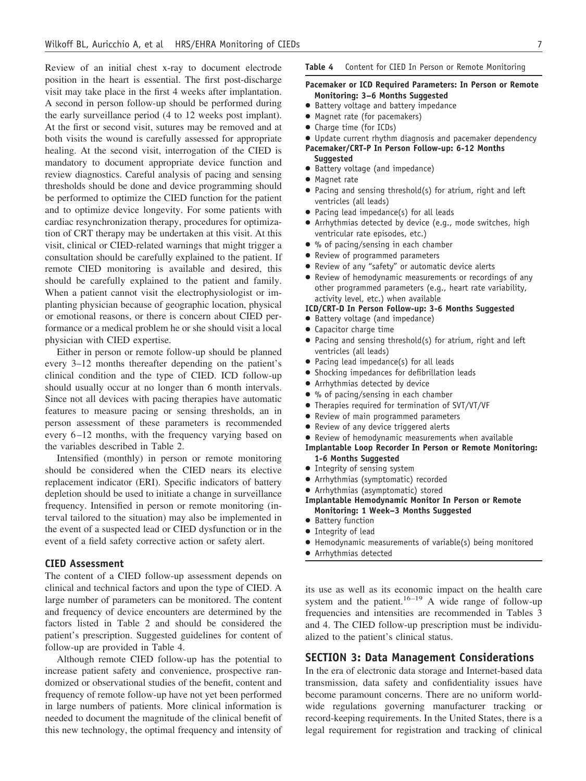<span id="page-6-0"></span>Review of an initial chest x-ray to document electrode position in the heart is essential. The first post-discharge visit may take place in the first 4 weeks after implantation. A second in person follow-up should be performed during the early surveillance period (4 to 12 weeks post implant). At the first or second visit, sutures may be removed and at both visits the wound is carefully assessed for appropriate healing. At the second visit, interrogation of the CIED is mandatory to document appropriate device function and review diagnostics. Careful analysis of pacing and sensing thresholds should be done and device programming should be performed to optimize the CIED function for the patient and to optimize device longevity. For some patients with cardiac resynchronization therapy, procedures for optimization of CRT therapy may be undertaken at this visit. At this visit, clinical or CIED-related warnings that might trigger a consultation should be carefully explained to the patient. If remote CIED monitoring is available and desired, this should be carefully explained to the patient and family. When a patient cannot visit the electrophysiologist or implanting physician because of geographic location, physical or emotional reasons, or there is concern about CIED performance or a medical problem he or she should visit a local physician with CIED expertise.

Either in person or remote follow-up should be planned every 3–12 months thereafter depending on the patient's clinical condition and the type of CIED. ICD follow-up should usually occur at no longer than 6 month intervals. Since not all devices with pacing therapies have automatic features to measure pacing or sensing thresholds, an in person assessment of these parameters is recommended every 6-12 months, with the frequency varying based on the variables described in [Table 2.](#page-4-0)

Intensified (monthly) in person or remote monitoring should be considered when the CIED nears its elective replacement indicator (ERI). Specific indicators of battery depletion should be used to initiate a change in surveillance frequency. Intensified in person or remote monitoring (interval tailored to the situation) may also be implemented in the event of a suspected lead or CIED dysfunction or in the event of a field safety corrective action or safety alert.

### **CIED Assessment**

The content of a CIED follow-up assessment depends on clinical and technical factors and upon the type of CIED. A large number of parameters can be monitored. The content and frequency of device encounters are determined by the factors listed in [Table 2](#page-4-0) and should be considered the patient's prescription. Suggested guidelines for content of follow-up are provided in Table 4.

Although remote CIED follow-up has the potential to increase patient safety and convenience, prospective randomized or observational studies of the benefit, content and frequency of remote follow-up have not yet been performed in large numbers of patients. More clinical information is needed to document the magnitude of the clinical benefit of this new technology, the optimal frequency and intensity of **Table 4** Content for CIED In Person or Remote Monitoring

#### **Pacemaker or ICD Required Parameters: In Person or Remote Monitoring: 3–6 Months Suggested**

- Battery voltage and battery impedance
- Magnet rate (for pacemakers)
- Charge time (for ICDs)
- Update current rhythm diagnosis and pacemaker dependency **Pacemaker/CRT-P In Person Follow-up: 6-12 Months**
- **Suggested**
- Battery voltage (and impedance)
- Magnet rate
- Pacing and sensing threshold(s) for atrium, right and left ventricles (all leads)
- Pacing lead impedance(s) for all leads
- Arrhythmias detected by device (e.g., mode switches, high ventricular rate episodes, etc.)
- % of pacing/sensing in each chamber
- Review of programmed parameters
- Review of any "safety" or automatic device alerts
- Review of hemodynamic measurements or recordings of any other programmed parameters (e.g., heart rate variability, activity level, etc.) when available

**ICD/CRT-D In Person Follow-up: 3-6 Months Suggested**

- Battery voltage (and impedance)
- Capacitor charge time
- Pacing and sensing threshold(s) for atrium, right and left ventricles (all leads)
- Pacing lead impedance(s) for all leads
- Shocking impedances for defibrillation leads
- Arrhythmias detected by device
- % of pacing/sensing in each chamber
- Therapies required for termination of SVT/VT/VF
- Review of main programmed parameters
- Review of any device triggered alerts
- Review of hemodynamic measurements when available

**Implantable Loop Recorder In Person or Remote Monitoring: 1-6 Months Suggested**

- Integrity of sensing system
- Arrhythmias (symptomatic) recorded
- Arrhythmias (asymptomatic) stored
- **Implantable Hemodynamic Monitor In Person or Remote Monitoring: 1 Week–3 Months Suggested**
- Battery function
- Integrity of lead
- Hemodynamic measurements of variable(s) being monitored
- Arrhythmias detected

its use as well as its economic impact on the health care system and the patient.<sup>16-19</sup> A wide range of follow-up frequencies and intensities are recommended in [Tables 3](#page-4-0) and 4. The CIED follow-up prescription must be individualized to the patient's clinical status.

# **SECTION 3: Data Management Considerations**

In the era of electronic data storage and Internet-based data transmission, data safety and confidentiality issues have become paramount concerns. There are no uniform worldwide regulations governing manufacturer tracking or record-keeping requirements. In the United States, there is a legal requirement for registration and tracking of clinical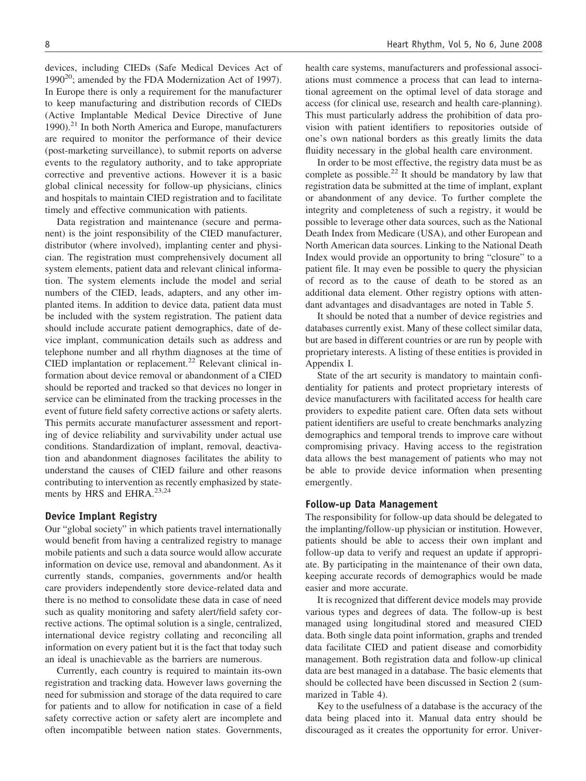devices, including CIEDs (Safe Medical Devices Act of 1990 $20$ ; amended by the FDA Modernization Act of 1997). In Europe there is only a requirement for the manufacturer to keep manufacturing and distribution records of CIEDs (Active Implantable Medical Device Directive of June 1990).<sup>21</sup> In both North America and Europe, manufacturers are required to monitor the performance of their device (post-marketing surveillance), to submit reports on adverse events to the regulatory authority, and to take appropriate corrective and preventive actions. However it is a basic global clinical necessity for follow-up physicians, clinics and hospitals to maintain CIED registration and to facilitate timely and effective communication with patients.

Data registration and maintenance (secure and permanent) is the joint responsibility of the CIED manufacturer, distributor (where involved), implanting center and physician. The registration must comprehensively document all system elements, patient data and relevant clinical information. The system elements include the model and serial numbers of the CIED, leads, adapters, and any other implanted items. In addition to device data, patient data must be included with the system registration. The patient data should include accurate patient demographics, date of device implant, communication details such as address and telephone number and all rhythm diagnoses at the time of CIED implantation or replacement.<sup>22</sup> Relevant clinical information about device removal or abandonment of a CIED should be reported and tracked so that devices no longer in service can be eliminated from the tracking processes in the event of future field safety corrective actions or safety alerts. This permits accurate manufacturer assessment and reporting of device reliability and survivability under actual use conditions. Standardization of implant, removal, deactivation and abandonment diagnoses facilitates the ability to understand the causes of CIED failure and other reasons contributing to intervention as recently emphasized by state-ments by HRS and EHRA.<sup>[23,24](#page-18-0)</sup>

# **Device Implant Registry**

Our "global society" in which patients travel internationally would benefit from having a centralized registry to manage mobile patients and such a data source would allow accurate information on device use, removal and abandonment. As it currently stands, companies, governments and/or health care providers independently store device-related data and there is no method to consolidate these data in case of need such as quality monitoring and safety alert/field safety corrective actions. The optimal solution is a single, centralized, international device registry collating and reconciling all information on every patient but it is the fact that today such an ideal is unachievable as the barriers are numerous.

Currently, each country is required to maintain its-own registration and tracking data. However laws governing the need for submission and storage of the data required to care for patients and to allow for notification in case of a field safety corrective action or safety alert are incomplete and often incompatible between nation states. Governments, health care systems, manufacturers and professional associations must commence a process that can lead to international agreement on the optimal level of data storage and access (for clinical use, research and health care-planning). This must particularly address the prohibition of data provision with patient identifiers to repositories outside of one's own national borders as this greatly limits the data fluidity necessary in the global health care environment.

In order to be most effective, the registry data must be as complete as possible.<sup>22</sup> It should be mandatory by law that registration data be submitted at the time of implant, explant or abandonment of any device. To further complete the integrity and completeness of such a registry, it would be possible to leverage other data sources, such as the National Death Index from Medicare (USA), and other European and North American data sources. Linking to the National Death Index would provide an opportunity to bring "closure" to a patient file. It may even be possible to query the physician of record as to the cause of death to be stored as an additional data element. Other registry options with attendant advantages and disadvantages are noted in [Table 5.](#page-8-0)

It should be noted that a number of device registries and databases currently exist. Many of these collect similar data, but are based in different countries or are run by people with proprietary interests. A listing of these entities is provided in Appendix I.

State of the art security is mandatory to maintain confidentiality for patients and protect proprietary interests of device manufacturers with facilitated access for health care providers to expedite patient care. Often data sets without patient identifiers are useful to create benchmarks analyzing demographics and temporal trends to improve care without compromising privacy. Having access to the registration data allows the best management of patients who may not be able to provide device information when presenting emergently.

# **Follow-up Data Management**

The responsibility for follow-up data should be delegated to the implanting/follow-up physician or institution. However, patients should be able to access their own implant and follow-up data to verify and request an update if appropriate. By participating in the maintenance of their own data, keeping accurate records of demographics would be made easier and more accurate.

It is recognized that different device models may provide various types and degrees of data. The follow-up is best managed using longitudinal stored and measured CIED data. Both single data point information, graphs and trended data facilitate CIED and patient disease and comorbidity management. Both registration data and follow-up clinical data are best managed in a database. The basic elements that should be collected have been discussed in Section 2 (summarized in [Table 4\)](#page-6-0).

Key to the usefulness of a database is the accuracy of the data being placed into it. Manual data entry should be discouraged as it creates the opportunity for error. Univer-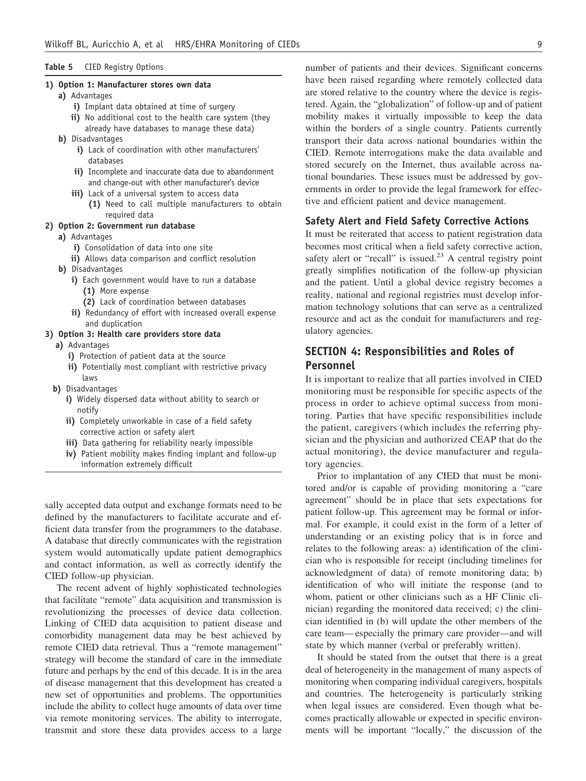#### <span id="page-8-0"></span>**Table 5** CIED Registry Options

#### **1) Option 1: Manufacturer stores own data**

- **a)** Advantages
	- **i)** Implant data obtained at time of surgery
	- **ii)** No additional cost to the health care system (they already have databases to manage these data)
- **b)** Disadvantages
	- **i)** Lack of coordination with other manufacturers' databases
	- **ii)** Incomplete and inaccurate data due to abandonment and change-out with other manufacturer's device
	- **iii)** Lack of a universal system to access data
		- **(1)** Need to call multiple manufacturers to obtain required data
- **2) Option 2: Government run database**
	- **a)** Advantages
		- **i)** Consolidation of data into one site
		- **ii)** Allows data comparison and conflict resolution
	- **b)** Disadvantages
		- **i)** Each government would have to run a database **(1)** More expense
			- **(2)** Lack of coordination between databases
		- **ii)** Redundancy of effort with increased overall expense and duplication

#### **3) Option 3: Health care providers store data**

- **a)** Advantages
	- **i)** Protection of patient data at the source
	- **ii)** Potentially most compliant with restrictive privacy laws
- **b)** Disadvantages
	- **i)** Widely dispersed data without ability to search or notify
	- **ii)** Completely unworkable in case of a field safety corrective action or safety alert
	- **iii)** Data gathering for reliability nearly impossible
	- **iv)** Patient mobility makes finding implant and follow-up information extremely difficult

sally accepted data output and exchange formats need to be defined by the manufacturers to facilitate accurate and efficient data transfer from the programmers to the database. A database that directly communicates with the registration system would automatically update patient demographics and contact information, as well as correctly identify the CIED follow-up physician.

The recent advent of highly sophisticated technologies that facilitate "remote" data acquisition and transmission is revolutionizing the processes of device data collection. Linking of CIED data acquisition to patient disease and comorbidity management data may be best achieved by remote CIED data retrieval. Thus a "remote management" strategy will become the standard of care in the immediate future and perhaps by the end of this decade. It is in the area of disease management that this development has created a new set of opportunities and problems. The opportunities include the ability to collect huge amounts of data over time via remote monitoring services. The ability to interrogate, transmit and store these data provides access to a large

number of patients and their devices. Significant concerns have been raised regarding where remotely collected data are stored relative to the country where the device is registered. Again, the "globalization" of follow-up and of patient mobility makes it virtually impossible to keep the data within the borders of a single country. Patients currently transport their data across national boundaries within the CIED. Remote interrogations make the data available and stored securely on the Internet, thus available across national boundaries. These issues must be addressed by governments in order to provide the legal framework for effective and efficient patient and device management.

### **Safety Alert and Field Safety Corrective Actions**

It must be reiterated that access to patient registration data becomes most critical when a field safety corrective action, safety alert or "recall" is issued. $2<sup>3</sup>$  A central registry point greatly simplifies notification of the follow-up physician and the patient. Until a global device registry becomes a reality, national and regional registries must develop information technology solutions that can serve as a centralized resource and act as the conduit for manufacturers and regulatory agencies.

# **SECTION 4: Responsibilities and Roles of Personnel**

It is important to realize that all parties involved in CIED monitoring must be responsible for specific aspects of the process in order to achieve optimal success from monitoring. Parties that have specific responsibilities include the patient, caregivers (which includes the referring physician and the physician and authorized CEAP that do the actual monitoring), the device manufacturer and regulatory agencies.

Prior to implantation of any CIED that must be monitored and/or is capable of providing monitoring a "care agreement" should be in place that sets expectations for patient follow-up. This agreement may be formal or informal. For example, it could exist in the form of a letter of understanding or an existing policy that is in force and relates to the following areas: a) identification of the clinician who is responsible for receipt (including timelines for acknowledgment of data) of remote monitoring data; b) identification of who will initiate the response (and to whom, patient or other clinicians such as a HF Clinic clinician) regarding the monitored data received; c) the clinician identified in (b) will update the other members of the care team— especially the primary care provider—and will state by which manner (verbal or preferably written).

It should be stated from the outset that there is a great deal of heterogeneity in the management of many aspects of monitoring when comparing individual caregivers, hospitals and countries. The heterogeneity is particularly striking when legal issues are considered. Even though what becomes practically allowable or expected in specific environments will be important "locally," the discussion of the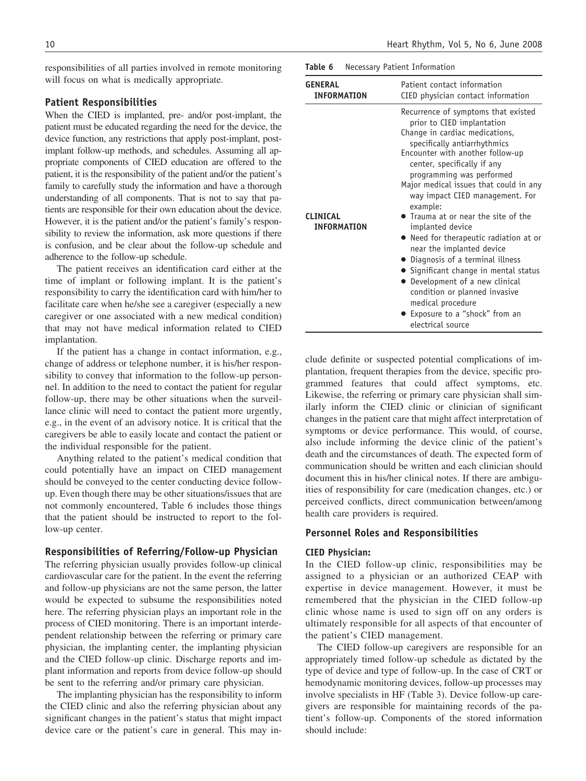responsibilities of all parties involved in remote monitoring will focus on what is medically appropriate.

# **Patient Responsibilities**

When the CIED is implanted, pre- and/or post-implant, the patient must be educated regarding the need for the device, the device function, any restrictions that apply post-implant, postimplant follow-up methods, and schedules. Assuming all appropriate components of CIED education are offered to the patient, it is the responsibility of the patient and/or the patient's family to carefully study the information and have a thorough understanding of all components. That is not to say that patients are responsible for their own education about the device. However, it is the patient and/or the patient's family's responsibility to review the information, ask more questions if there is confusion, and be clear about the follow-up schedule and adherence to the follow-up schedule.

The patient receives an identification card either at the time of implant or following implant. It is the patient's responsibility to carry the identification card with him/her to facilitate care when he/she see a caregiver (especially a new caregiver or one associated with a new medical condition) that may not have medical information related to CIED implantation.

If the patient has a change in contact information, e.g., change of address or telephone number, it is his/her responsibility to convey that information to the follow-up personnel. In addition to the need to contact the patient for regular follow-up, there may be other situations when the surveillance clinic will need to contact the patient more urgently, e.g., in the event of an advisory notice. It is critical that the caregivers be able to easily locate and contact the patient or the individual responsible for the patient.

Anything related to the patient's medical condition that could potentially have an impact on CIED management should be conveyed to the center conducting device followup. Even though there may be other situations/issues that are not commonly encountered, Table 6 includes those things that the patient should be instructed to report to the follow-up center.

# **Responsibilities of Referring/Follow-up Physician**

The referring physician usually provides follow-up clinical cardiovascular care for the patient. In the event the referring and follow-up physicians are not the same person, the latter would be expected to subsume the responsibilities noted here. The referring physician plays an important role in the process of CIED monitoring. There is an important interdependent relationship between the referring or primary care physician, the implanting center, the implanting physician and the CIED follow-up clinic. Discharge reports and implant information and reports from device follow-up should be sent to the referring and/or primary care physician.

The implanting physician has the responsibility to inform the CIED clinic and also the referring physician about any significant changes in the patient's status that might impact device care or the patient's care in general. This may in**Table 6** Necessary Patient Information

| <b>GENERAL</b>                        | Patient contact information                                                                                                                                                                                                                                                                                                                                                                                                                                                                                                                                                                                                                                                                             |  |  |  |
|---------------------------------------|---------------------------------------------------------------------------------------------------------------------------------------------------------------------------------------------------------------------------------------------------------------------------------------------------------------------------------------------------------------------------------------------------------------------------------------------------------------------------------------------------------------------------------------------------------------------------------------------------------------------------------------------------------------------------------------------------------|--|--|--|
| <b>INFORMATION</b>                    | CIED physician contact information                                                                                                                                                                                                                                                                                                                                                                                                                                                                                                                                                                                                                                                                      |  |  |  |
| <b>CLINICAL</b><br><b>INFORMATION</b> | Recurrence of symptoms that existed<br>prior to CIED implantation<br>Change in cardiac medications,<br>specifically antiarrhythmics<br>Encounter with another follow-up<br>center, specifically if any<br>programming was performed<br>Major medical issues that could in any<br>way impact CIED management. For<br>example:<br>Trauma at or near the site of the<br>implanted device<br>• Need for therapeutic radiation at or<br>near the implanted device<br>$\bullet$ Diagnosis of a terminal illness<br>$\bullet$ Significant change in mental status<br>Development of a new clinical<br>condition or planned invasive<br>medical procedure<br>Exposure to a "shock" from an<br>electrical source |  |  |  |

clude definite or suspected potential complications of implantation, frequent therapies from the device, specific programmed features that could affect symptoms, etc. Likewise, the referring or primary care physician shall similarly inform the CIED clinic or clinician of significant changes in the patient care that might affect interpretation of symptoms or device performance. This would, of course, also include informing the device clinic of the patient's death and the circumstances of death. The expected form of communication should be written and each clinician should document this in his/her clinical notes. If there are ambiguities of responsibility for care (medication changes, etc.) or perceived conflicts, direct communication between/among health care providers is required.

#### **Personnel Roles and Responsibilities**

# **CIED Physician:**

In the CIED follow-up clinic, responsibilities may be assigned to a physician or an authorized CEAP with expertise in device management. However, it must be remembered that the physician in the CIED follow-up clinic whose name is used to sign off on any orders is ultimately responsible for all aspects of that encounter of the patient's CIED management.

The CIED follow-up caregivers are responsible for an appropriately timed follow-up schedule as dictated by the type of device and type of follow-up. In the case of CRT or hemodynamic monitoring devices, follow-up processes may involve specialists in HF [\(Table 3\)](#page-4-0). Device follow-up caregivers are responsible for maintaining records of the patient's follow-up. Components of the stored information should include: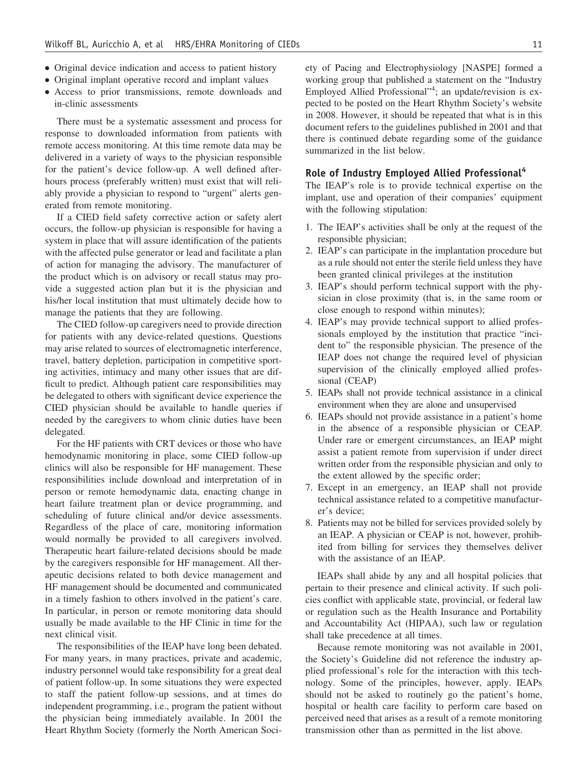- Original device indication and access to patient history
- Original implant operative record and implant values
- Access to prior transmissions, remote downloads and in-clinic assessments

There must be a systematic assessment and process for response to downloaded information from patients with remote access monitoring. At this time remote data may be delivered in a variety of ways to the physician responsible for the patient's device follow-up. A well defined afterhours process (preferably written) must exist that will reliably provide a physician to respond to "urgent" alerts generated from remote monitoring.

If a CIED field safety corrective action or safety alert occurs, the follow-up physician is responsible for having a system in place that will assure identification of the patients with the affected pulse generator or lead and facilitate a plan of action for managing the advisory. The manufacturer of the product which is on advisory or recall status may provide a suggested action plan but it is the physician and his/her local institution that must ultimately decide how to manage the patients that they are following.

The CIED follow-up caregivers need to provide direction for patients with any device-related questions. Questions may arise related to sources of electromagnetic interference, travel, battery depletion, participation in competitive sporting activities, intimacy and many other issues that are difficult to predict. Although patient care responsibilities may be delegated to others with significant device experience the CIED physician should be available to handle queries if needed by the caregivers to whom clinic duties have been delegated.

For the HF patients with CRT devices or those who have hemodynamic monitoring in place, some CIED follow-up clinics will also be responsible for HF management. These responsibilities include download and interpretation of in person or remote hemodynamic data, enacting change in heart failure treatment plan or device programming, and scheduling of future clinical and/or device assessments. Regardless of the place of care, monitoring information would normally be provided to all caregivers involved. Therapeutic heart failure-related decisions should be made by the caregivers responsible for HF management. All therapeutic decisions related to both device management and HF management should be documented and communicated in a timely fashion to others involved in the patient's care. In particular, in person or remote monitoring data should usually be made available to the HF Clinic in time for the next clinical visit.

The responsibilities of the IEAP have long been debated. For many years, in many practices, private and academic, industry personnel would take responsibility for a great deal of patient follow-up. In some situations they were expected to staff the patient follow-up sessions, and at times do independent programming, i.e., program the patient without the physician being immediately available. In 2001 the Heart Rhythm Society (formerly the North American Society of Pacing and Electrophysiology [NASPE] formed a working group that published a statement on the "Industry Employed Allied Professional"<sup>4</sup>; an update/revision is expected to be posted on the Heart Rhythm Society's website in 2008. However, it should be repeated that what is in this document refers to the guidelines published in 2001 and that there is continued debate regarding some of the guidance summarized in the list below.

# **Role of Industry Employed Allied Professional[4](#page-17-0)**

The IEAP's role is to provide technical expertise on the implant, use and operation of their companies' equipment with the following stipulation:

- 1. The IEAP's activities shall be only at the request of the responsible physician;
- 2. IEAP's can participate in the implantation procedure but as a rule should not enter the sterile field unless they have been granted clinical privileges at the institution
- 3. IEAP's should perform technical support with the physician in close proximity (that is, in the same room or close enough to respond within minutes);
- 4. IEAP's may provide technical support to allied professionals employed by the institution that practice "incident to" the responsible physician. The presence of the IEAP does not change the required level of physician supervision of the clinically employed allied professional (CEAP)
- 5. IEAPs shall not provide technical assistance in a clinical environment when they are alone and unsupervised
- 6. IEAPs should not provide assistance in a patient's home in the absence of a responsible physician or CEAP. Under rare or emergent circumstances, an IEAP might assist a patient remote from supervision if under direct written order from the responsible physician and only to the extent allowed by the specific order;
- 7. Except in an emergency, an IEAP shall not provide technical assistance related to a competitive manufacturer's device;
- 8. Patients may not be billed for services provided solely by an IEAP. A physician or CEAP is not, however, prohibited from billing for services they themselves deliver with the assistance of an IEAP.

IEAPs shall abide by any and all hospital policies that pertain to their presence and clinical activity. If such policies conflict with applicable state, provincial, or federal law or regulation such as the Health Insurance and Portability and Accountability Act (HIPAA), such law or regulation shall take precedence at all times.

Because remote monitoring was not available in 2001, the Society's Guideline did not reference the industry applied professional's role for the interaction with this technology. Some of the principles, however, apply. IEAPs should not be asked to routinely go the patient's home, hospital or health care facility to perform care based on perceived need that arises as a result of a remote monitoring transmission other than as permitted in the list above.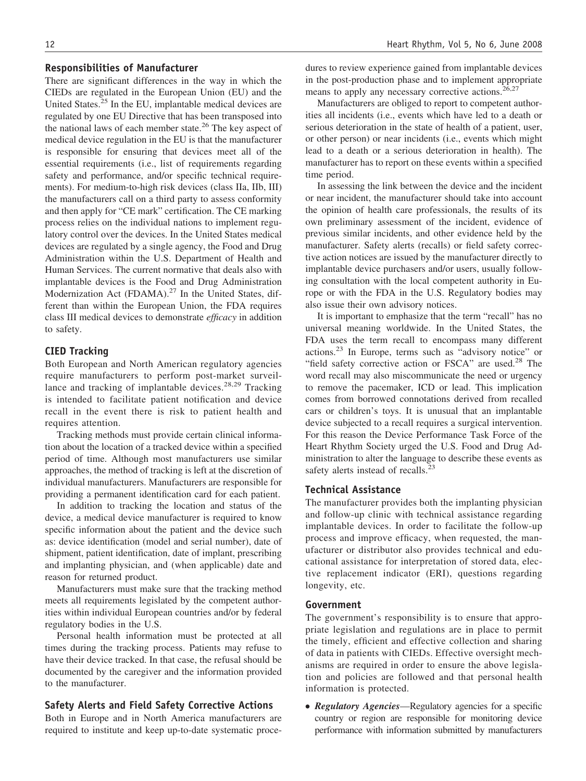### **Responsibilities of Manufacturer**

There are significant differences in the way in which the CIEDs are regulated in the European Union (EU) and the United States.<sup>25</sup> In the EU, implantable medical devices are regulated by one EU Directive that has been transposed into the national laws of each member state.<sup>26</sup> The key aspect of medical device regulation in the EU is that the manufacturer is responsible for ensuring that devices meet all of the essential requirements (i.e., list of requirements regarding safety and performance, and/or specific technical requirements). For medium-to-high risk devices (class IIa, IIb, III) the manufacturers call on a third party to assess conformity and then apply for "CE mark" certification. The CE marking process relies on the individual nations to implement regulatory control over the devices. In the United States medical devices are regulated by a single agency, the Food and Drug Administration within the U.S. Department of Health and Human Services. The current normative that deals also with implantable devices is the Food and Drug Administration Modernization Act (FDAMA).<sup>27</sup> In the United States, different than within the European Union, the FDA requires class III medical devices to demonstrate *efficacy* in addition to safety.

# **CIED Tracking**

Both European and North American regulatory agencies require manufacturers to perform post-market surveil-lance and tracking of implantable devices.<sup>[28,29](#page-18-0)</sup> Tracking is intended to facilitate patient notification and device recall in the event there is risk to patient health and requires attention.

Tracking methods must provide certain clinical information about the location of a tracked device within a specified period of time. Although most manufacturers use similar approaches, the method of tracking is left at the discretion of individual manufacturers. Manufacturers are responsible for providing a permanent identification card for each patient.

In addition to tracking the location and status of the device, a medical device manufacturer is required to know specific information about the patient and the device such as: device identification (model and serial number), date of shipment, patient identification, date of implant, prescribing and implanting physician, and (when applicable) date and reason for returned product.

Manufacturers must make sure that the tracking method meets all requirements legislated by the competent authorities within individual European countries and/or by federal regulatory bodies in the U.S.

Personal health information must be protected at all times during the tracking process. Patients may refuse to have their device tracked. In that case, the refusal should be documented by the caregiver and the information provided to the manufacturer.

## **Safety Alerts and Field Safety Corrective Actions**

Both in Europe and in North America manufacturers are required to institute and keep up-to-date systematic proce-

12 Heart Rhythm, Vol 5, No 6, June 2008

dures to review experience gained from implantable devices in the post-production phase and to implement appropriate means to apply any necessary corrective actions.<sup>[26,27](#page-18-0)</sup>

Manufacturers are obliged to report to competent authorities all incidents (i.e., events which have led to a death or serious deterioration in the state of health of a patient, user, or other person) or near incidents (i.e., events which might lead to a death or a serious deterioration in health). The manufacturer has to report on these events within a specified time period.

In assessing the link between the device and the incident or near incident, the manufacturer should take into account the opinion of health care professionals, the results of its own preliminary assessment of the incident, evidence of previous similar incidents, and other evidence held by the manufacturer. Safety alerts (recalls) or field safety corrective action notices are issued by the manufacturer directly to implantable device purchasers and/or users, usually following consultation with the local competent authority in Europe or with the FDA in the U.S. Regulatory bodies may also issue their own advisory notices.

It is important to emphasize that the term "recall" has no universal meaning worldwide. In the United States, the FDA uses the term recall to encompass many different actions[.23](#page-18-0) In Europe, terms such as "advisory notice" or "field safety corrective action or FSCA" are used.<sup>[28](#page-18-0)</sup> The word recall may also miscommunicate the need or urgency to remove the pacemaker, ICD or lead. This implication comes from borrowed connotations derived from recalled cars or children's toys. It is unusual that an implantable device subjected to a recall requires a surgical intervention. For this reason the Device Performance Task Force of the Heart Rhythm Society urged the U.S. Food and Drug Administration to alter the language to describe these events as safety alerts instead of recalls.<sup>23</sup>

### **Technical Assistance**

The manufacturer provides both the implanting physician and follow-up clinic with technical assistance regarding implantable devices. In order to facilitate the follow-up process and improve efficacy, when requested, the manufacturer or distributor also provides technical and educational assistance for interpretation of stored data, elective replacement indicator (ERI), questions regarding longevity, etc.

#### **Government**

The government's responsibility is to ensure that appropriate legislation and regulations are in place to permit the timely, efficient and effective collection and sharing of data in patients with CIEDs. Effective oversight mechanisms are required in order to ensure the above legislation and policies are followed and that personal health information is protected.

• *Regulatory Agencies*—Regulatory agencies for a specific country or region are responsible for monitoring device performance with information submitted by manufacturers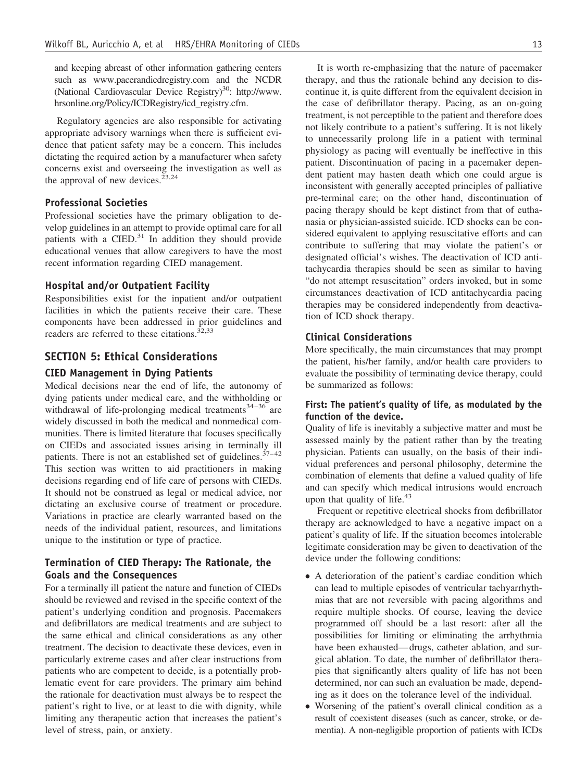and keeping abreast of other information gathering centers such as [www.pacerandicdregistry.com](http://www.pacerandicdregistry.com) and the NCDR (National Cardiovascular Device Registry)<sup>30</sup>: [http://www.](http://www.hrsonline.org/Policy/ICDRegistry/icd_registry.cfm) [hrsonline.org/Policy/ICDRegistry/icd\\_registry.cfm.](http://www.hrsonline.org/Policy/ICDRegistry/icd_registry.cfm)

Regulatory agencies are also responsible for activating appropriate advisory warnings when there is sufficient evidence that patient safety may be a concern. This includes dictating the required action by a manufacturer when safety concerns exist and overseeing the investigation as well as the approval of new devices. $23,24$ 

# **Professional Societies**

Professional societies have the primary obligation to develop guidelines in an attempt to provide optimal care for all patients with a CIED.<sup>31</sup> In addition they should provide educational venues that allow caregivers to have the most recent information regarding CIED management.

### **Hospital and/or Outpatient Facility**

Responsibilities exist for the inpatient and/or outpatient facilities in which the patients receive their care. These components have been addressed in prior guidelines and readers are referred to these citations.<sup>32,33</sup>

# **SECTION 5: Ethical Considerations**

# **CIED Management in Dying Patients**

Medical decisions near the end of life, the autonomy of dying patients under medical care, and the withholding or withdrawal of life-prolonging medical treatments<sup>34-36</sup> are widely discussed in both the medical and nonmedical communities. There is limited literature that focuses specifically on CIEDs and associated issues arising in terminally ill patients. There is not an established set of guidelines.  $37-42$ This section was written to aid practitioners in making decisions regarding end of life care of persons with CIEDs. It should not be construed as legal or medical advice, nor dictating an exclusive course of treatment or procedure. Variations in practice are clearly warranted based on the needs of the individual patient, resources, and limitations unique to the institution or type of practice.

# **Termination of CIED Therapy: The Rationale, the Goals and the Consequences**

For a terminally ill patient the nature and function of CIEDs should be reviewed and revised in the specific context of the patient's underlying condition and prognosis. Pacemakers and defibrillators are medical treatments and are subject to the same ethical and clinical considerations as any other treatment. The decision to deactivate these devices, even in particularly extreme cases and after clear instructions from patients who are competent to decide, is a potentially problematic event for care providers. The primary aim behind the rationale for deactivation must always be to respect the patient's right to live, or at least to die with dignity, while limiting any therapeutic action that increases the patient's level of stress, pain, or anxiety.

It is worth re-emphasizing that the nature of pacemaker therapy, and thus the rationale behind any decision to discontinue it, is quite different from the equivalent decision in the case of defibrillator therapy. Pacing, as an on-going treatment, is not perceptible to the patient and therefore does not likely contribute to a patient's suffering. It is not likely to unnecessarily prolong life in a patient with terminal physiology as pacing will eventually be ineffective in this patient. Discontinuation of pacing in a pacemaker dependent patient may hasten death which one could argue is inconsistent with generally accepted principles of palliative pre-terminal care; on the other hand, discontinuation of pacing therapy should be kept distinct from that of euthanasia or physician-assisted suicide. ICD shocks can be considered equivalent to applying resuscitative efforts and can contribute to suffering that may violate the patient's or designated official's wishes. The deactivation of ICD antitachycardia therapies should be seen as similar to having "do not attempt resuscitation" orders invoked, but in some circumstances deactivation of ICD antitachycardia pacing therapies may be considered independently from deactivation of ICD shock therapy.

### **Clinical Considerations**

More specifically, the main circumstances that may prompt the patient, his/her family, and/or health care providers to evaluate the possibility of terminating device therapy, could be summarized as follows:

# **First: The patient's quality of life, as modulated by the function of the device.**

Quality of life is inevitably a subjective matter and must be assessed mainly by the patient rather than by the treating physician. Patients can usually, on the basis of their individual preferences and personal philosophy, determine the combination of elements that define a valued quality of life and can specify which medical intrusions would encroach upon that quality of life. $43$ 

Frequent or repetitive electrical shocks from defibrillator therapy are acknowledged to have a negative impact on a patient's quality of life. If the situation becomes intolerable legitimate consideration may be given to deactivation of the device under the following conditions:

- A deterioration of the patient's cardiac condition which can lead to multiple episodes of ventricular tachyarrhythmias that are not reversible with pacing algorithms and require multiple shocks. Of course, leaving the device programmed off should be a last resort: after all the possibilities for limiting or eliminating the arrhythmia have been exhausted— drugs, catheter ablation, and surgical ablation. To date, the number of defibrillator therapies that significantly alters quality of life has not been determined, nor can such an evaluation be made, depending as it does on the tolerance level of the individual.
- Worsening of the patient's overall clinical condition as a result of coexistent diseases (such as cancer, stroke, or dementia). A non-negligible proportion of patients with ICDs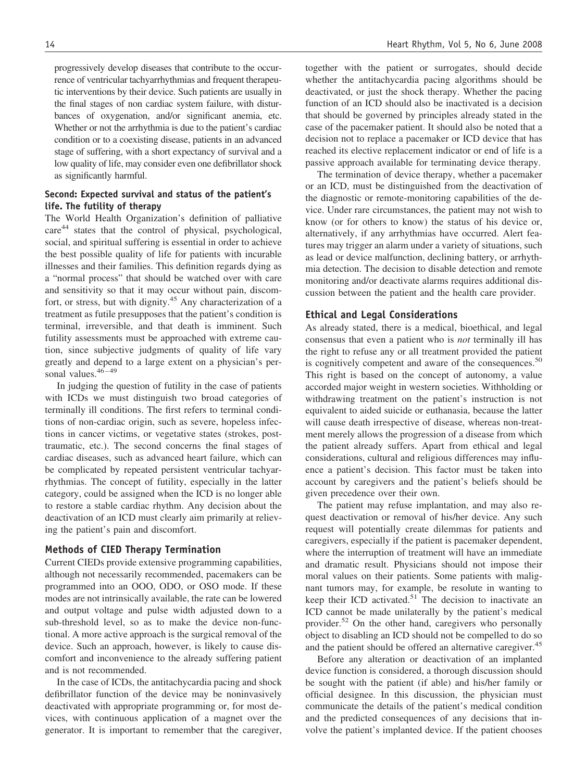progressively develop diseases that contribute to the occurrence of ventricular tachyarrhythmias and frequent therapeutic interventions by their device. Such patients are usually in the final stages of non cardiac system failure, with disturbances of oxygenation, and/or significant anemia, etc. Whether or not the arrhythmia is due to the patient's cardiac condition or to a coexisting disease, patients in an advanced stage of suffering, with a short expectancy of survival and a low quality of life, may consider even one defibrillator shock as significantly harmful.

# **Second: Expected survival and status of the patient's life. The futility of therapy**

The World Health Organization's definition of palliative care<sup>44</sup> states that the control of physical, psychological, social, and spiritual suffering is essential in order to achieve the best possible quality of life for patients with incurable illnesses and their families. This definition regards dying as a "normal process" that should be watched over with care and sensitivity so that it may occur without pain, discomfort, or stress, but with dignity.<sup>45</sup> Any characterization of a treatment as futile presupposes that the patient's condition is terminal, irreversible, and that death is imminent. Such futility assessments must be approached with extreme caution, since subjective judgments of quality of life vary greatly and depend to a large extent on a physician's personal values.<sup>46-49</sup>

In judging the question of futility in the case of patients with ICDs we must distinguish two broad categories of terminally ill conditions. The first refers to terminal conditions of non-cardiac origin, such as severe, hopeless infections in cancer victims, or vegetative states (strokes, posttraumatic, etc.). The second concerns the final stages of cardiac diseases, such as advanced heart failure, which can be complicated by repeated persistent ventricular tachyarrhythmias. The concept of futility, especially in the latter category, could be assigned when the ICD is no longer able to restore a stable cardiac rhythm. Any decision about the deactivation of an ICD must clearly aim primarily at relieving the patient's pain and discomfort.

### **Methods of CIED Therapy Termination**

Current CIEDs provide extensive programming capabilities, although not necessarily recommended, pacemakers can be programmed into an OOO, ODO, or OSO mode. If these modes are not intrinsically available, the rate can be lowered and output voltage and pulse width adjusted down to a sub-threshold level, so as to make the device non-functional. A more active approach is the surgical removal of the device. Such an approach, however, is likely to cause discomfort and inconvenience to the already suffering patient and is not recommended.

In the case of ICDs, the antitachycardia pacing and shock defibrillator function of the device may be noninvasively deactivated with appropriate programming or, for most devices, with continuous application of a magnet over the generator. It is important to remember that the caregiver,

together with the patient or surrogates, should decide whether the antitachycardia pacing algorithms should be deactivated, or just the shock therapy. Whether the pacing function of an ICD should also be inactivated is a decision that should be governed by principles already stated in the case of the pacemaker patient. It should also be noted that a decision not to replace a pacemaker or ICD device that has reached its elective replacement indicator or end of life is a passive approach available for terminating device therapy.

The termination of device therapy, whether a pacemaker or an ICD, must be distinguished from the deactivation of the diagnostic or remote-monitoring capabilities of the device. Under rare circumstances, the patient may not wish to know (or for others to know) the status of his device or, alternatively, if any arrhythmias have occurred. Alert features may trigger an alarm under a variety of situations, such as lead or device malfunction, declining battery, or arrhythmia detection. The decision to disable detection and remote monitoring and/or deactivate alarms requires additional discussion between the patient and the health care provider.

### **Ethical and Legal Considerations**

As already stated, there is a medical, bioethical, and legal consensus that even a patient who is *not* terminally ill has the right to refuse any or all treatment provided the patient is cognitively competent and aware of the consequences.<sup>50</sup> This right is based on the concept of autonomy, a value accorded major weight in western societies. Withholding or withdrawing treatment on the patient's instruction is not equivalent to aided suicide or euthanasia, because the latter will cause death irrespective of disease, whereas non-treatment merely allows the progression of a disease from which the patient already suffers. Apart from ethical and legal considerations, cultural and religious differences may influence a patient's decision. This factor must be taken into account by caregivers and the patient's beliefs should be given precedence over their own.

The patient may refuse implantation, and may also request deactivation or removal of his/her device. Any such request will potentially create dilemmas for patients and caregivers, especially if the patient is pacemaker dependent, where the interruption of treatment will have an immediate and dramatic result. Physicians should not impose their moral values on their patients. Some patients with malignant tumors may, for example, be resolute in wanting to keep their ICD activated.<sup>51</sup> The decision to inactivate an ICD cannot be made unilaterally by the patient's medical provider[.52](#page-18-0) On the other hand, caregivers who personally object to disabling an ICD should not be compelled to do so and the patient should be offered an alternative caregiver.<sup>45</sup>

Before any alteration or deactivation of an implanted device function is considered, a thorough discussion should be sought with the patient (if able) and his/her family or official designee. In this discussion, the physician must communicate the details of the patient's medical condition and the predicted consequences of any decisions that involve the patient's implanted device. If the patient chooses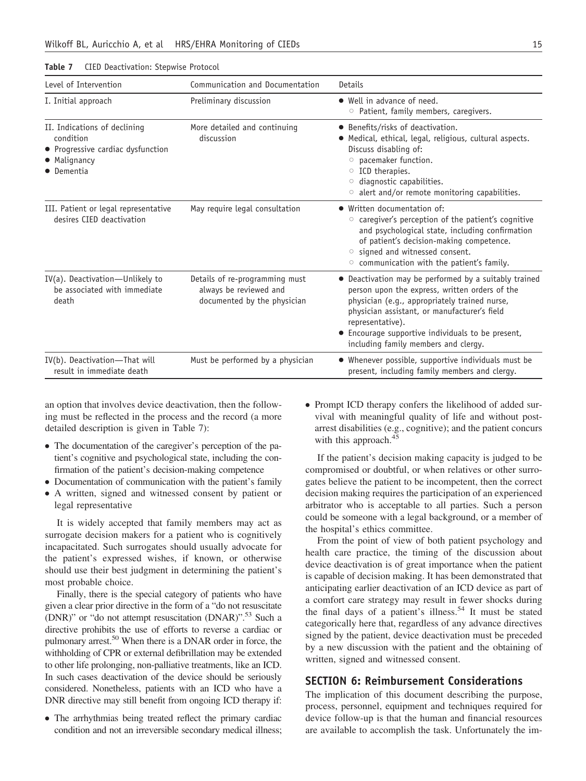| Level of Intervention                                                                                        | Communication and Documentation                                                         | Details                                                                                                                                                                                                                                                                                                                   |
|--------------------------------------------------------------------------------------------------------------|-----------------------------------------------------------------------------------------|---------------------------------------------------------------------------------------------------------------------------------------------------------------------------------------------------------------------------------------------------------------------------------------------------------------------------|
| I. Initial approach                                                                                          | Preliminary discussion                                                                  | • Well in advance of need.<br>O Patient, family members, caregivers.                                                                                                                                                                                                                                                      |
| II. Indications of declining<br>condition<br>• Progressive cardiac dysfunction<br>• Malignancy<br>• Dementia | More detailed and continuing<br>discussion                                              | • Benefits/risks of deactivation.<br>• Medical, ethical, legal, religious, cultural aspects.<br>Discuss disabling of:<br>$\circ$ pacemaker function.<br>$\circ$ ICD therapies.<br>$\circ$ diagnostic capabilities.<br>o alert and/or remote monitoring capabilities.                                                      |
| III. Patient or legal representative<br>desires CIED deactivation                                            | May require legal consultation                                                          | • Written documentation of:<br>○ caregiver's perception of the patient's cognitive<br>and psychological state, including confirmation<br>of patient's decision-making competence.<br>○ signed and witnessed consent.<br>o communication with the patient's family.                                                        |
| IV(a). Deactivation—Unlikely to<br>be associated with immediate<br>death                                     | Details of re-programming must<br>always be reviewed and<br>documented by the physician | • Deactivation may be performed by a suitably trained<br>person upon the express, written orders of the<br>physician (e.g., appropriately trained nurse,<br>physician assistant, or manufacturer's field<br>representative).<br>• Encourage supportive individuals to be present,<br>including family members and clergy. |
| IV(b). Deactivation-That will<br>result in immediate death                                                   | Must be performed by a physician                                                        | • Whenever possible, supportive individuals must be<br>present, including family members and clergy.                                                                                                                                                                                                                      |

**Table 7** CIED Deactivation: Stepwise Protocol

an option that involves device deactivation, then the following must be reflected in the process and the record (a more detailed description is given in Table 7):

- The documentation of the caregiver's perception of the patient's cognitive and psychological state, including the confirmation of the patient's decision-making competence
- Documentation of communication with the patient's family
- A written, signed and witnessed consent by patient or legal representative

It is widely accepted that family members may act as surrogate decision makers for a patient who is cognitively incapacitated. Such surrogates should usually advocate for the patient's expressed wishes, if known, or otherwise should use their best judgment in determining the patient's most probable choice.

Finally, there is the special category of patients who have given a clear prior directive in the form of a "do not resuscitate (DNR)" or "do not attempt resuscitation (DNAR)".<sup>53</sup> Such a directive prohibits the use of efforts to reverse a cardiac or pulmonary arrest.<sup>50</sup> When there is a DNAR order in force, the withholding of CPR or external defibrillation may be extended to other life prolonging, non-palliative treatments, like an ICD. In such cases deactivation of the device should be seriously considered. Nonetheless, patients with an ICD who have a DNR directive may still benefit from ongoing ICD therapy if:

• The arrhythmias being treated reflect the primary cardiac condition and not an irreversible secondary medical illness; ● Prompt ICD therapy confers the likelihood of added survival with meaningful quality of life and without postarrest disabilities (e.g., cognitive); and the patient concurs with this approach.<sup>45</sup>

If the patient's decision making capacity is judged to be compromised or doubtful, or when relatives or other surrogates believe the patient to be incompetent, then the correct decision making requires the participation of an experienced arbitrator who is acceptable to all parties. Such a person could be someone with a legal background, or a member of the hospital's ethics committee.

From the point of view of both patient psychology and health care practice, the timing of the discussion about device deactivation is of great importance when the patient is capable of decision making. It has been demonstrated that anticipating earlier deactivation of an ICD device as part of a comfort care strategy may result in fewer shocks during the final days of a patient's illness.<sup>54</sup> It must be stated categorically here that, regardless of any advance directives signed by the patient, device deactivation must be preceded by a new discussion with the patient and the obtaining of written, signed and witnessed consent.

# **SECTION 6: Reimbursement Considerations**

The implication of this document describing the purpose, process, personnel, equipment and techniques required for device follow-up is that the human and financial resources are available to accomplish the task. Unfortunately the im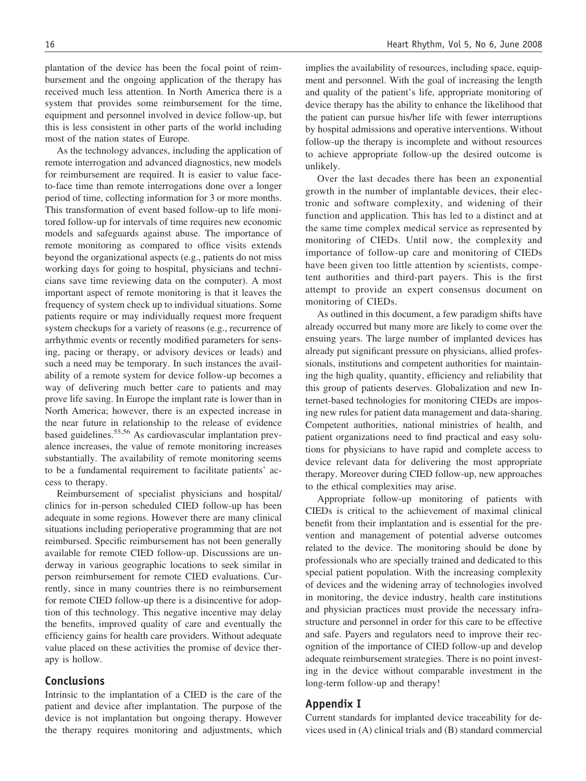plantation of the device has been the focal point of reimbursement and the ongoing application of the therapy has received much less attention. In North America there is a system that provides some reimbursement for the time, equipment and personnel involved in device follow-up, but this is less consistent in other parts of the world including most of the nation states of Europe.

As the technology advances, including the application of remote interrogation and advanced diagnostics, new models for reimbursement are required. It is easier to value faceto-face time than remote interrogations done over a longer period of time, collecting information for 3 or more months. This transformation of event based follow-up to life monitored follow-up for intervals of time requires new economic models and safeguards against abuse. The importance of remote monitoring as compared to office visits extends beyond the organizational aspects (e.g., patients do not miss working days for going to hospital, physicians and technicians save time reviewing data on the computer). A most important aspect of remote monitoring is that it leaves the frequency of system check up to individual situations. Some patients require or may individually request more frequent system checkups for a variety of reasons (e.g., recurrence of arrhythmic events or recently modified parameters for sensing, pacing or therapy, or advisory devices or leads) and such a need may be temporary. In such instances the availability of a remote system for device follow-up becomes a way of delivering much better care to patients and may prove life saving. In Europe the implant rate is lower than in North America; however, there is an expected increase in the near future in relationship to the release of evidence based guidelines.<sup>55,56</sup> As cardiovascular implantation prevalence increases, the value of remote monitoring increases substantially. The availability of remote monitoring seems to be a fundamental requirement to facilitate patients' access to therapy.

Reimbursement of specialist physicians and hospital/ clinics for in-person scheduled CIED follow-up has been adequate in some regions. However there are many clinical situations including perioperative programming that are not reimbursed. Specific reimbursement has not been generally available for remote CIED follow-up. Discussions are underway in various geographic locations to seek similar in person reimbursement for remote CIED evaluations. Currently, since in many countries there is no reimbursement for remote CIED follow-up there is a disincentive for adoption of this technology. This negative incentive may delay the benefits, improved quality of care and eventually the efficiency gains for health care providers. Without adequate value placed on these activities the promise of device therapy is hollow.

# **Conclusions**

Intrinsic to the implantation of a CIED is the care of the patient and device after implantation. The purpose of the device is not implantation but ongoing therapy. However the therapy requires monitoring and adjustments, which

implies the availability of resources, including space, equipment and personnel. With the goal of increasing the length and quality of the patient's life, appropriate monitoring of device therapy has the ability to enhance the likelihood that the patient can pursue his/her life with fewer interruptions by hospital admissions and operative interventions. Without follow-up the therapy is incomplete and without resources to achieve appropriate follow-up the desired outcome is unlikely.

Over the last decades there has been an exponential growth in the number of implantable devices, their electronic and software complexity, and widening of their function and application. This has led to a distinct and at the same time complex medical service as represented by monitoring of CIEDs. Until now, the complexity and importance of follow-up care and monitoring of CIEDs have been given too little attention by scientists, competent authorities and third-part payers. This is the first attempt to provide an expert consensus document on monitoring of CIEDs.

As outlined in this document, a few paradigm shifts have already occurred but many more are likely to come over the ensuing years. The large number of implanted devices has already put significant pressure on physicians, allied professionals, institutions and competent authorities for maintaining the high quality, quantity, efficiency and reliability that this group of patients deserves. Globalization and new Internet-based technologies for monitoring CIEDs are imposing new rules for patient data management and data-sharing. Competent authorities, national ministries of health, and patient organizations need to find practical and easy solutions for physicians to have rapid and complete access to device relevant data for delivering the most appropriate therapy. Moreover during CIED follow-up, new approaches to the ethical complexities may arise.

Appropriate follow-up monitoring of patients with CIEDs is critical to the achievement of maximal clinical benefit from their implantation and is essential for the prevention and management of potential adverse outcomes related to the device. The monitoring should be done by professionals who are specially trained and dedicated to this special patient population. With the increasing complexity of devices and the widening array of technologies involved in monitoring, the device industry, health care institutions and physician practices must provide the necessary infrastructure and personnel in order for this care to be effective and safe. Payers and regulators need to improve their recognition of the importance of CIED follow-up and develop adequate reimbursement strategies. There is no point investing in the device without comparable investment in the long-term follow-up and therapy!

# **Appendix I**

Current standards for implanted device traceability for devices used in (A) clinical trials and (B) standard commercial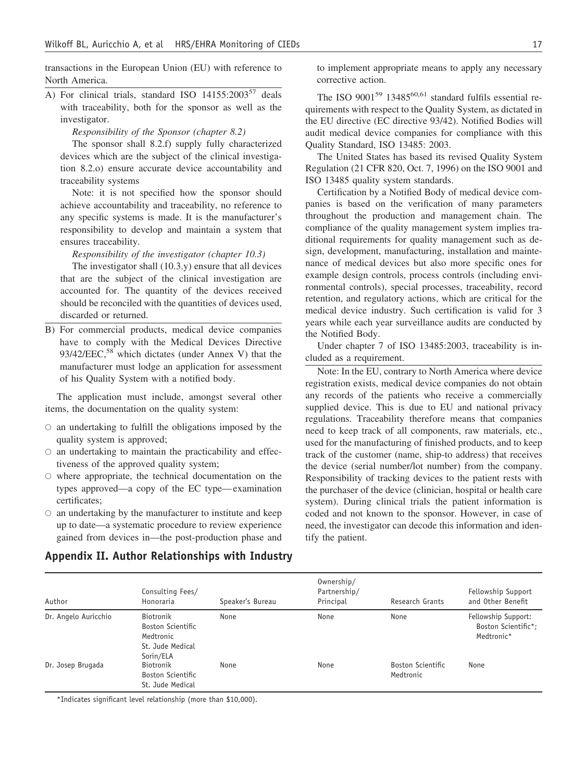transactions in the European Union (EU) with reference to North America.

A) For clinical trials, standard ISO  $14155:2003^{57}$  deals with traceability, both for the sponsor as well as the investigator.

*Responsibility of the Sponsor (chapter 8.2)*

The sponsor shall 8.2.f) supply fully characterized devices which are the subject of the clinical investigation 8.2.o) ensure accurate device accountability and traceability systems

Note: it is not specified how the sponsor should achieve accountability and traceability, no reference to any specific systems is made. It is the manufacturer's responsibility to develop and maintain a system that ensures traceability.

*Responsibility of the investigator (chapter 10.3)*

The investigator shall (10.3.y) ensure that all devices that are the subject of the clinical investigation are accounted for. The quantity of the devices received should be reconciled with the quantities of devices used, discarded or returned.

B) For commercial products, medical device companies have to comply with the Medical Devices Directive 93/42/EEC,<sup>58</sup> which dictates (under Annex V) that the manufacturer must lodge an application for assessment of his Quality System with a notified body.

The application must include, amongst several other items, the documentation on the quality system:

- $\circ$  an undertaking to fulfill the obligations imposed by the quality system is approved;
- $\circ$  an undertaking to maintain the practicability and effectiveness of the approved quality system;
- $\circ$  where appropriate, the technical documentation on the types approved—a copy of the EC type— examination certificates;
- $\circ$  an undertaking by the manufacturer to institute and keep up to date—a systematic procedure to review experience gained from devices in—the post-production phase and

# **Appendix II. Author Relationships with Industry**

to implement appropriate means to apply any necessary corrective action.

The ISO  $9001^{59}$  13485<sup>60,61</sup> standard fulfils essential requirements with respect to the Quality System, as dictated in the EU directive (EC directive 93/42). Notified Bodies will audit medical device companies for compliance with this Quality Standard, ISO 13485: 2003.

The United States has based its revised Quality System Regulation (21 CFR 820, Oct. 7, 1996) on the ISO 9001 and ISO 13485 quality system standards.

Certification by a Notified Body of medical device companies is based on the verification of many parameters throughout the production and management chain. The compliance of the quality management system implies traditional requirements for quality management such as design, development, manufacturing, installation and maintenance of medical devices but also more specific ones for example design controls, process controls (including environmental controls), special processes, traceability, record retention, and regulatory actions, which are critical for the medical device industry. Such certification is valid for 3 years while each year surveillance audits are conducted by the Notified Body.

Under chapter 7 of ISO 13485:2003, traceability is included as a requirement.

Note: In the EU, contrary to North America where device registration exists, medical device companies do not obtain any records of the patients who receive a commercially supplied device. This is due to EU and national privacy regulations. Traceability therefore means that companies need to keep track of all components, raw materials, etc., used for the manufacturing of finished products, and to keep track of the customer (name, ship-to address) that receives the device (serial number/lot number) from the company. Responsibility of tracking devices to the patient rests with the purchaser of the device (clinician, hospital or health care system). During clinical trials the patient information is coded and not known to the sponsor. However, in case of need, the investigator can decode this information and identify the patient.

| Author               | Consulting Fees/<br>Honoraria                                                | Speaker's Bureau | Ownership/<br>Partnership/<br>Principal | Research Grants                | Fellowship Support<br>and Other Benefit                  |
|----------------------|------------------------------------------------------------------------------|------------------|-----------------------------------------|--------------------------------|----------------------------------------------------------|
| Dr. Angelo Auricchio | Biotronik<br>Boston Scientific<br>Medtronic<br>St. Jude Medical<br>Sorin/ELA | None             | None                                    | None                           | Fellowship Support:<br>Boston Scientific*;<br>Medtronic* |
| Dr. Josep Brugada    | <b>Biotronik</b><br>Boston Scientific<br>St. Jude Medical                    | None             | None                                    | Boston Scientific<br>Medtronic | None                                                     |

\*Indicates significant level relationship (more than \$10,000).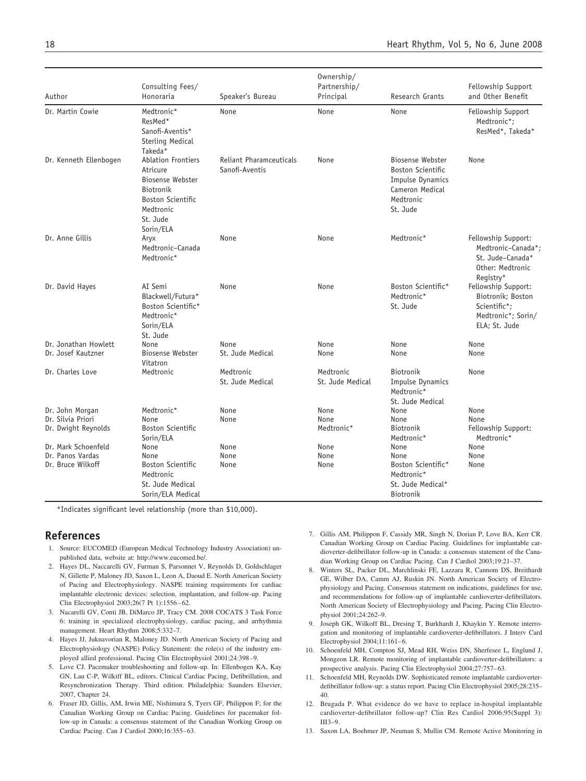<span id="page-17-0"></span>

| Author                                                       | Consulting Fees/<br>Honoraria                                                                                                            | Speaker's Bureau                                 | Ownership/<br>Partnership/<br>Principal | Research Grants                                                                                                     | Fellowship Support<br>and Other Benefit                                                         |
|--------------------------------------------------------------|------------------------------------------------------------------------------------------------------------------------------------------|--------------------------------------------------|-----------------------------------------|---------------------------------------------------------------------------------------------------------------------|-------------------------------------------------------------------------------------------------|
| Dr. Martin Cowie                                             | Medtronic*<br>ResMed*<br>Sanofi-Aventis*<br>Sterling Medical<br>Takeda*                                                                  | None                                             | None                                    | None                                                                                                                | Fellowship Support<br>Medtronic*;<br>ResMed*, Takeda*                                           |
| Dr. Kenneth Ellenbogen                                       | <b>Ablation Frontiers</b><br>Atricure<br><b>Biosense Webster</b><br>Biotronik<br>Boston Scientific<br>Medtronic<br>St. Jude<br>Sorin/ELA | <b>Reliant Pharamceuticals</b><br>Sanofi-Aventis | None                                    | <b>Biosense Webster</b><br>Boston Scientific<br><b>Impulse Dynamics</b><br>Cameron Medical<br>Medtronic<br>St. Jude | None                                                                                            |
| Dr. Anne Gillis                                              | Aryx<br>Medtronic-Canada<br>Medtronic*                                                                                                   | None                                             | None                                    | Medtronic*                                                                                                          | Fellowship Support:<br>Medtronic-Canada*;<br>St. Jude-Canada*<br>Other: Medtronic<br>Registry*  |
| Dr. David Hayes                                              | AI Semi<br>Blackwell/Futura*<br>Boston Scientific*<br>Medtronic*<br>Sorin/ELA<br>St. Jude                                                | None                                             | None                                    | Boston Scientific*<br>Medtronic*<br>St. Jude                                                                        | Fellowship Support:<br>Biotronik; Boston<br>Scientific*;<br>Medtronic*; Sorin/<br>ELA; St. Jude |
| Dr. Jonathan Howlett<br>Dr. Josef Kautzner                   | None<br><b>Biosense Webster</b><br>Vitatron                                                                                              | None<br>St. Jude Medical                         | None<br>None                            | None<br>None                                                                                                        | None<br>None                                                                                    |
| Dr. Charles Love                                             | Medtronic                                                                                                                                | Medtronic<br>St. Jude Medical                    | Medtronic<br>St. Jude Medical           | Biotronik<br><b>Impulse Dynamics</b><br>Medtronic*<br>St. Jude Medical                                              | None                                                                                            |
| Dr. John Morgan<br>Dr. Silvia Priori<br>Dr. Dwight Reynolds  | Medtronic*<br>None<br><b>Boston Scientific</b><br>Sorin/ELA                                                                              | None<br>None                                     | None<br>None<br>Medtronic*              | None<br>None<br>Biotronik<br>Medtronic*                                                                             | None<br>None<br>Fellowship Support:<br>Medtronic*                                               |
| Dr. Mark Schoenfeld<br>Dr. Panos Vardas<br>Dr. Bruce Wilkoff | None<br>None<br><b>Boston Scientific</b><br>Medtronic<br>St. Jude Medical<br>Sorin/ELA Medical                                           | None<br>None<br>None                             | None<br>None<br>None                    | None<br>None<br>Boston Scientific*<br>Medtronic*<br>St. Jude Medical*<br><b>Biotronik</b>                           | None<br>None<br>None                                                                            |

\*Indicates significant level relationship (more than \$10,000).

# **References**

- 1. Source: EUCOMED (European Medical Technology Industry Association) unpublished data, website at: [http://www.eucomed.be/.](http://www.eucomed.be/)
- 2. Hayes DL, Naccarelli GV, Furman S, Parsonnet V, Reynolds D, Goldschlager N, Gillette P, Maloney JD, Saxon L, Leon A, Daoud E. North American Society of Pacing and Electrophysiology. NASPE training requirements for cardiac implantable electronic devices: selection, implantation, and follow-up. Pacing Clin Electrophysiol 2003;26(7 Pt 1):1556 – 62.
- 3. Nacarelli GV, Conti JB, DiMarco JP, Tracy CM. 2008 COCATS 3 Task Force 6: training in specialized electrophysiology, cardiac pacing, and arrhythmia management. Heart Rhythm 2008;5:332–7.
- 4. Hayes JJ, Juknavorian R, Maloney JD. North American Society of Pacing and Electrophysiology (NASPE) Policy Statement: the role(s) of the industry employed allied professional. Pacing Clin Electrophysiol 2001;24:398 –9.
- 5. Love CJ. Pacemaker troubleshooting and follow-up. In: Ellenbogen KA, Kay GN, Lau C-P, Wilkiff BL, editors. Clinical Cardiac Pacing, Defibrillation, and Resynchronization Therapy. Third edition. Philadelphia: Saunders Elsevier, 2007, Chapter 24.
- 6. Fraser JD, Gillis, AM, Irwin ME, Nishimura S, Tyers GF, Philippon F; for the Canadian Working Group on Cardiac Pacing. Guidelines for pacemaker follow-up in Canada: a consensus statement of the Canadian Working Group on Cardiac Pacing. Can J Cardiol 2000;16:355-63.
- 7. Gillis AM, Philippon F, Cassidy MR, Singh N, Dorian P, Love BA, Kerr CR. Canadian Working Group on Cardiac Pacing. Guidelines for implantable cardioverter-defibrillator follow-up in Canada: a consensus statement of the Canadian Working Group on Cardiac Pacing. Can J Cardiol 2003;19:21–37.
- 8. Winters SL, Packer DL, Marchlinski FE, Lazzara R, Cannom DS, Breithardt GE, Wilber DA, Camm AJ, Ruskin JN. North American Society of Electrophysiology and Pacing. Consensus statement on indications, guidelines for use, and recommendations for follow-up of implantable cardioverter-defibrillators. North American Society of Electrophysiology and Pacing. Pacing Clin Electrophysiol 2001;24:262–9.
- 9. Joseph GK, Wilkoff BL, Dresing T, Burkhardt J, Khaykin Y. Remote interrogation and monitoring of implantable cardioverter-defibrillators. J Interv Card Electrophysiol 2004;11:161-6.
- 10. Schoenfeld MH, Compton SJ, Mead RH, Weiss DN, Sherfesee L, Englund J, Mongeon LR. Remote monitoring of implantable cardioverter-defibrillators: a prospective analysis. Pacing Clin Electrophysiol 2004;27:757– 63.
- 11. Schoenfeld MH, Reynolds DW. Sophisticated remote implantable cardioverterdefibrillator follow-up: a status report. Pacing Clin Electrophysiol 2005;28:235– 40.
- 12. Brugada P. What evidence do we have to replace in-hospital implantable cardioverter-defibrillator follow-up? Clin Res Cardiol 2006;95(Suppl 3): III3–9.
- 13. Saxon LA, Boehmer JP, Neuman S, Mullin CM. Remote Active Monitoring in